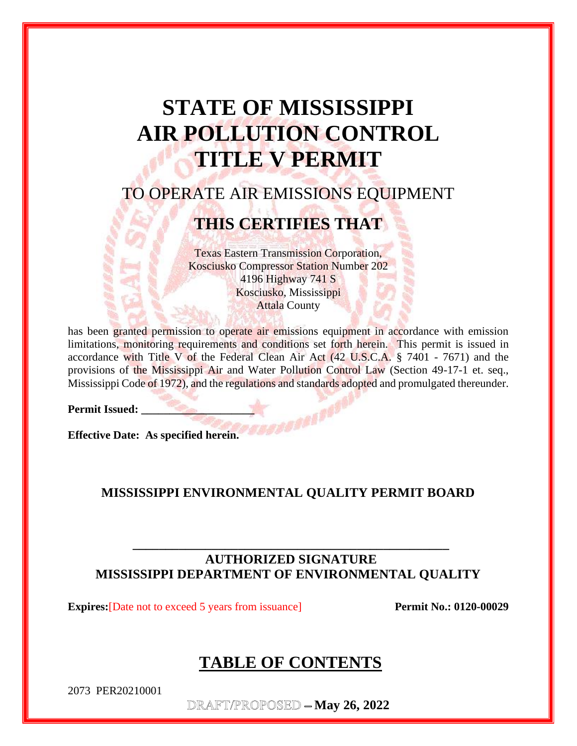# **STATE OF MISSISSIPPI AIR POLLUTION CONTROL TITLE V PERMIT**

## TO OPERATE AIR EMISSIONS EQUIPMENT

## **THIS CERTIFIES THAT**

Texas Eastern Transmission Corporation, Kosciusko Compressor Station Number 202 4196 Highway 741 S Kosciusko, Mississippi Attala County

has been granted permission to operate air emissions equipment in accordance with emission limitations, monitoring requirements and conditions set forth herein. This permit is issued in accordance with Title V of the Federal Clean Air Act (42 U.S.C.A. § 7401 - 7671) and the provisions of the Mississippi Air and Water Pollution Control Law (Section 49-17-1 et. seq., Mississippi Code of 1972), and the regulations and standards adopted and promulgated thereunder.

Permit Issued: \_

**Effective Date: As specified herein.** 

### **MISSISSIPPI ENVIRONMENTAL QUALITY PERMIT BOARD**

## **AUTHORIZED SIGNATURE MISSISSIPPI DEPARTMENT OF ENVIRONMENTAL QUALITY**

**\_\_\_\_\_\_\_\_\_\_\_\_\_\_\_\_\_\_\_\_\_\_\_\_\_\_\_\_\_\_\_\_\_\_\_\_\_\_\_\_\_\_\_\_\_\_\_\_**

**Expires:**[Date not to exceed 5 years from issuance] **Permit No.: 0120-00029** 

## **TABLE OF CONTENTS**

2073 PER20210001

DRAFT/PROPOSED - May 26, 2022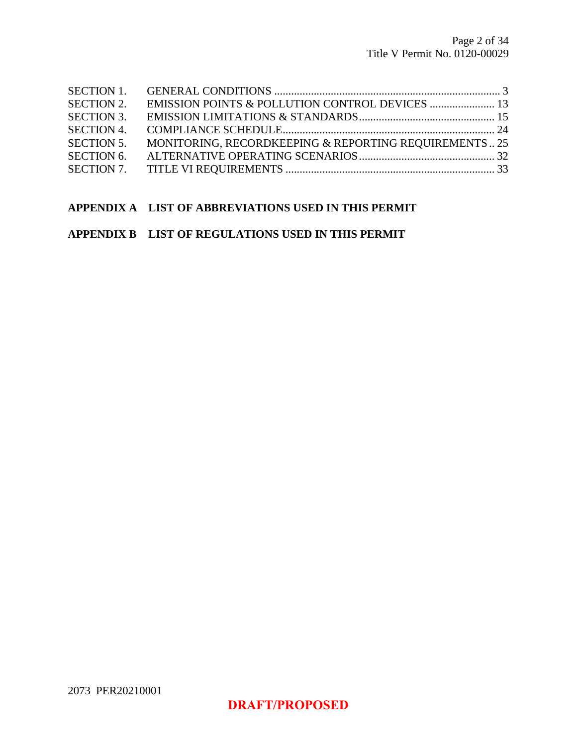| <b>SECTION 2.</b> |                                                       |  |
|-------------------|-------------------------------------------------------|--|
| <b>SECTION 3.</b> |                                                       |  |
| <b>SECTION 4.</b> |                                                       |  |
| <b>SECTION 5.</b> | MONITORING, RECORDKEEPING & REPORTING REQUIREMENTS 25 |  |
| <b>SECTION 6.</b> |                                                       |  |
|                   |                                                       |  |

#### **APPENDIX A LIST OF ABBREVIATIONS USED IN THIS PERMIT**

#### **APPENDIX B LIST OF REGULATIONS USED IN THIS PERMIT**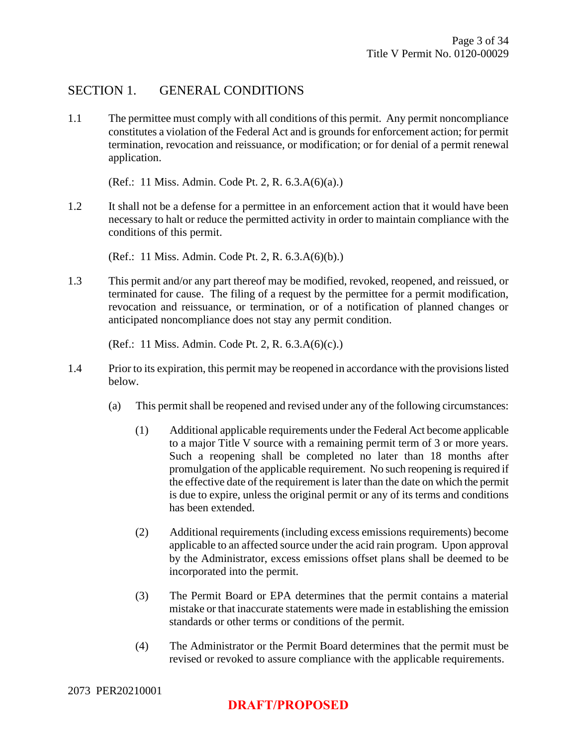### SECTION 1. GENERAL CONDITIONS

1.1 The permittee must comply with all conditions of this permit. Any permit noncompliance constitutes a violation of the Federal Act and is grounds for enforcement action; for permit termination, revocation and reissuance, or modification; or for denial of a permit renewal application.

(Ref.: 11 Miss. Admin. Code Pt. 2, R. 6.3.A(6)(a).)

1.2 It shall not be a defense for a permittee in an enforcement action that it would have been necessary to halt or reduce the permitted activity in order to maintain compliance with the conditions of this permit.

(Ref.: 11 Miss. Admin. Code Pt. 2, R. 6.3.A(6)(b).)

1.3 This permit and/or any part thereof may be modified, revoked, reopened, and reissued, or terminated for cause. The filing of a request by the permittee for a permit modification, revocation and reissuance, or termination, or of a notification of planned changes or anticipated noncompliance does not stay any permit condition.

(Ref.: 11 Miss. Admin. Code Pt. 2, R. 6.3.A(6)(c).)

- 1.4 Prior to its expiration, this permit may be reopened in accordance with the provisions listed below.
	- (a) This permit shall be reopened and revised under any of the following circumstances:
		- (1) Additional applicable requirements under the Federal Act become applicable to a major Title V source with a remaining permit term of 3 or more years. Such a reopening shall be completed no later than 18 months after promulgation of the applicable requirement. No such reopening is required if the effective date of the requirement is later than the date on which the permit is due to expire, unless the original permit or any of its terms and conditions has been extended.
		- (2) Additional requirements (including excess emissions requirements) become applicable to an affected source under the acid rain program. Upon approval by the Administrator, excess emissions offset plans shall be deemed to be incorporated into the permit.
		- (3) The Permit Board or EPA determines that the permit contains a material mistake or that inaccurate statements were made in establishing the emission standards or other terms or conditions of the permit.
		- (4) The Administrator or the Permit Board determines that the permit must be revised or revoked to assure compliance with the applicable requirements.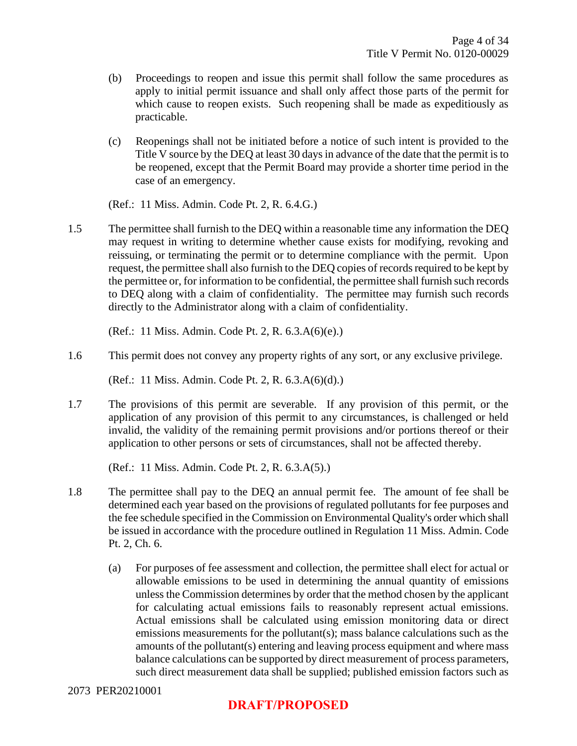- (b) Proceedings to reopen and issue this permit shall follow the same procedures as apply to initial permit issuance and shall only affect those parts of the permit for which cause to reopen exists. Such reopening shall be made as expeditiously as practicable.
- (c) Reopenings shall not be initiated before a notice of such intent is provided to the Title V source by the DEQ at least 30 days in advance of the date that the permit is to be reopened, except that the Permit Board may provide a shorter time period in the case of an emergency.

(Ref.: 11 Miss. Admin. Code Pt. 2, R. 6.4.G.)

1.5 The permittee shall furnish to the DEQ within a reasonable time any information the DEQ may request in writing to determine whether cause exists for modifying, revoking and reissuing, or terminating the permit or to determine compliance with the permit. Upon request, the permittee shall also furnish to the DEQ copies of records required to be kept by the permittee or, for information to be confidential, the permittee shall furnish such records to DEQ along with a claim of confidentiality. The permittee may furnish such records directly to the Administrator along with a claim of confidentiality.

(Ref.: 11 Miss. Admin. Code Pt. 2, R. 6.3.A(6)(e).)

1.6 This permit does not convey any property rights of any sort, or any exclusive privilege.

(Ref.: 11 Miss. Admin. Code Pt. 2, R. 6.3.A(6)(d).)

1.7 The provisions of this permit are severable. If any provision of this permit, or the application of any provision of this permit to any circumstances, is challenged or held invalid, the validity of the remaining permit provisions and/or portions thereof or their application to other persons or sets of circumstances, shall not be affected thereby.

(Ref.: 11 Miss. Admin. Code Pt. 2, R. 6.3.A(5).)

- 1.8 The permittee shall pay to the DEQ an annual permit fee. The amount of fee shall be determined each year based on the provisions of regulated pollutants for fee purposes and the fee schedule specified in the Commission on Environmental Quality's order which shall be issued in accordance with the procedure outlined in Regulation 11 Miss. Admin. Code Pt. 2, Ch. 6.
	- (a) For purposes of fee assessment and collection, the permittee shall elect for actual or allowable emissions to be used in determining the annual quantity of emissions unless the Commission determines by order that the method chosen by the applicant for calculating actual emissions fails to reasonably represent actual emissions. Actual emissions shall be calculated using emission monitoring data or direct emissions measurements for the pollutant(s); mass balance calculations such as the amounts of the pollutant(s) entering and leaving process equipment and where mass balance calculations can be supported by direct measurement of process parameters, such direct measurement data shall be supplied; published emission factors such as

#### 2073 PER20210001

## **DRAFT/PROPOSED**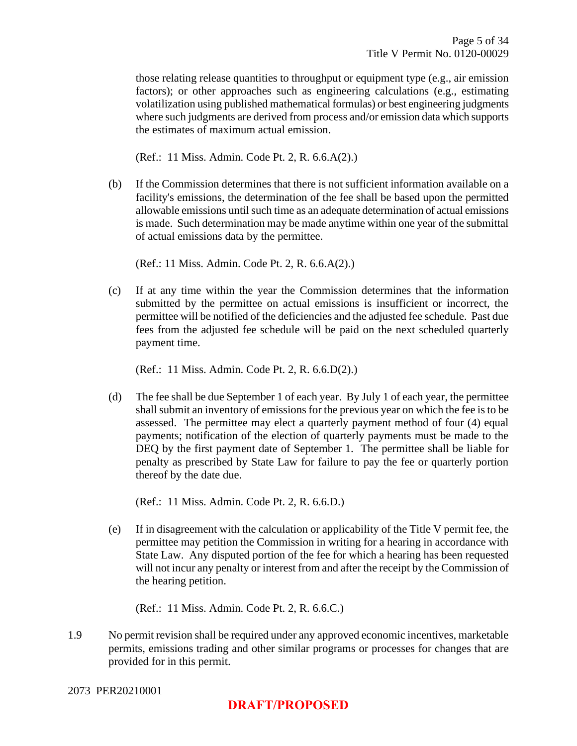those relating release quantities to throughput or equipment type (e.g., air emission factors); or other approaches such as engineering calculations (e.g., estimating volatilization using published mathematical formulas) or best engineering judgments where such judgments are derived from process and/or emission data which supports the estimates of maximum actual emission.

(Ref.: 11 Miss. Admin. Code Pt. 2, R. 6.6.A(2).)

(b) If the Commission determines that there is not sufficient information available on a facility's emissions, the determination of the fee shall be based upon the permitted allowable emissions until such time as an adequate determination of actual emissions is made. Such determination may be made anytime within one year of the submittal of actual emissions data by the permittee.

(Ref.: 11 Miss. Admin. Code Pt. 2, R. 6.6.A(2).)

(c) If at any time within the year the Commission determines that the information submitted by the permittee on actual emissions is insufficient or incorrect, the permittee will be notified of the deficiencies and the adjusted fee schedule. Past due fees from the adjusted fee schedule will be paid on the next scheduled quarterly payment time.

(Ref.: 11 Miss. Admin. Code Pt. 2, R. 6.6.D(2).)

(d) The fee shall be due September 1 of each year. By July 1 of each year, the permittee shall submit an inventory of emissions for the previous year on which the fee is to be assessed. The permittee may elect a quarterly payment method of four (4) equal payments; notification of the election of quarterly payments must be made to the DEQ by the first payment date of September 1. The permittee shall be liable for penalty as prescribed by State Law for failure to pay the fee or quarterly portion thereof by the date due.

(Ref.: 11 Miss. Admin. Code Pt. 2, R. 6.6.D.)

(e) If in disagreement with the calculation or applicability of the Title V permit fee, the permittee may petition the Commission in writing for a hearing in accordance with State Law. Any disputed portion of the fee for which a hearing has been requested will not incur any penalty or interest from and after the receipt by the Commission of the hearing petition.

(Ref.: 11 Miss. Admin. Code Pt. 2, R. 6.6.C.)

1.9 No permit revision shall be required under any approved economic incentives, marketable permits, emissions trading and other similar programs or processes for changes that are provided for in this permit.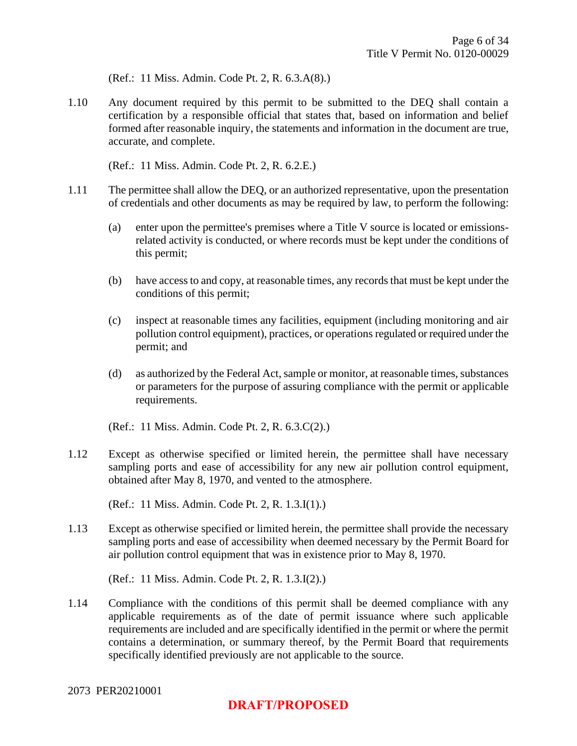(Ref.: 11 Miss. Admin. Code Pt. 2, R. 6.3.A(8).)

1.10 Any document required by this permit to be submitted to the DEQ shall contain a certification by a responsible official that states that, based on information and belief formed after reasonable inquiry, the statements and information in the document are true, accurate, and complete.

(Ref.: 11 Miss. Admin. Code Pt. 2, R. 6.2.E.)

- 1.11 The permittee shall allow the DEQ, or an authorized representative, upon the presentation of credentials and other documents as may be required by law, to perform the following:
	- (a) enter upon the permittee's premises where a Title V source is located or emissionsrelated activity is conducted, or where records must be kept under the conditions of this permit;
	- (b) have access to and copy, at reasonable times, any records that must be kept under the conditions of this permit;
	- (c) inspect at reasonable times any facilities, equipment (including monitoring and air pollution control equipment), practices, or operations regulated or required under the permit; and
	- (d) as authorized by the Federal Act, sample or monitor, at reasonable times, substances or parameters for the purpose of assuring compliance with the permit or applicable requirements.

(Ref.: 11 Miss. Admin. Code Pt. 2, R. 6.3.C(2).)

1.12 Except as otherwise specified or limited herein, the permittee shall have necessary sampling ports and ease of accessibility for any new air pollution control equipment, obtained after May 8, 1970, and vented to the atmosphere.

(Ref.: 11 Miss. Admin. Code Pt. 2, R. 1.3.I(1).)

1.13 Except as otherwise specified or limited herein, the permittee shall provide the necessary sampling ports and ease of accessibility when deemed necessary by the Permit Board for air pollution control equipment that was in existence prior to May 8, 1970.

(Ref.: 11 Miss. Admin. Code Pt. 2, R. 1.3.I(2).)

1.14 Compliance with the conditions of this permit shall be deemed compliance with any applicable requirements as of the date of permit issuance where such applicable requirements are included and are specifically identified in the permit or where the permit contains a determination, or summary thereof, by the Permit Board that requirements specifically identified previously are not applicable to the source.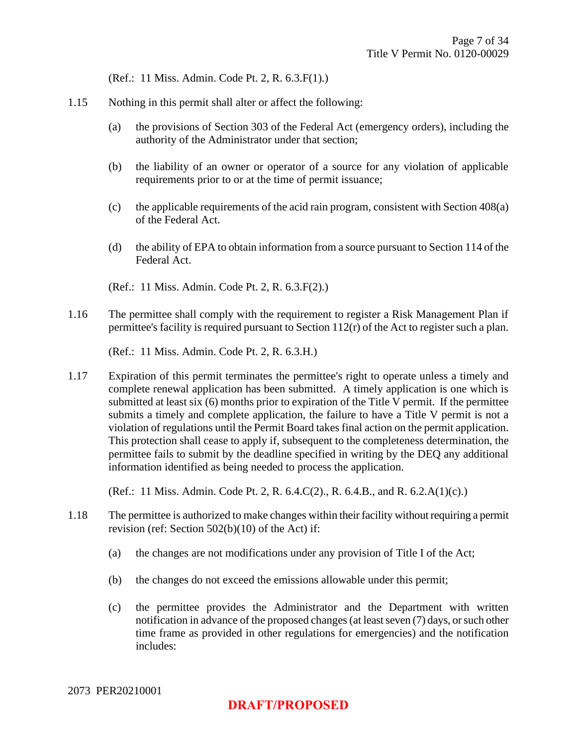(Ref.: 11 Miss. Admin. Code Pt. 2, R. 6.3.F(1).)

- 1.15 Nothing in this permit shall alter or affect the following:
	- (a) the provisions of Section 303 of the Federal Act (emergency orders), including the authority of the Administrator under that section;
	- (b) the liability of an owner or operator of a source for any violation of applicable requirements prior to or at the time of permit issuance;
	- (c) the applicable requirements of the acid rain program, consistent with Section 408(a) of the Federal Act.
	- (d) the ability of EPA to obtain information from a source pursuant to Section 114 of the Federal Act.
	- (Ref.: 11 Miss. Admin. Code Pt. 2, R. 6.3.F(2).)
- 1.16 The permittee shall comply with the requirement to register a Risk Management Plan if permittee's facility is required pursuant to Section 112(r) of the Act to register such a plan.

(Ref.: 11 Miss. Admin. Code Pt. 2, R. 6.3.H.)

1.17 Expiration of this permit terminates the permittee's right to operate unless a timely and complete renewal application has been submitted. A timely application is one which is submitted at least six (6) months prior to expiration of the Title V permit. If the permittee submits a timely and complete application, the failure to have a Title V permit is not a violation of regulations until the Permit Board takes final action on the permit application. This protection shall cease to apply if, subsequent to the completeness determination, the permittee fails to submit by the deadline specified in writing by the DEQ any additional information identified as being needed to process the application.

(Ref.: 11 Miss. Admin. Code Pt. 2, R. 6.4.C(2)., R. 6.4.B., and R. 6.2.A(1)(c).)

- 1.18 The permittee is authorized to make changes within their facility without requiring a permit revision (ref: Section 502(b)(10) of the Act) if:
	- (a) the changes are not modifications under any provision of Title I of the Act;
	- (b) the changes do not exceed the emissions allowable under this permit;
	- (c) the permittee provides the Administrator and the Department with written notification in advance of the proposed changes (at least seven (7) days, or such other time frame as provided in other regulations for emergencies) and the notification includes: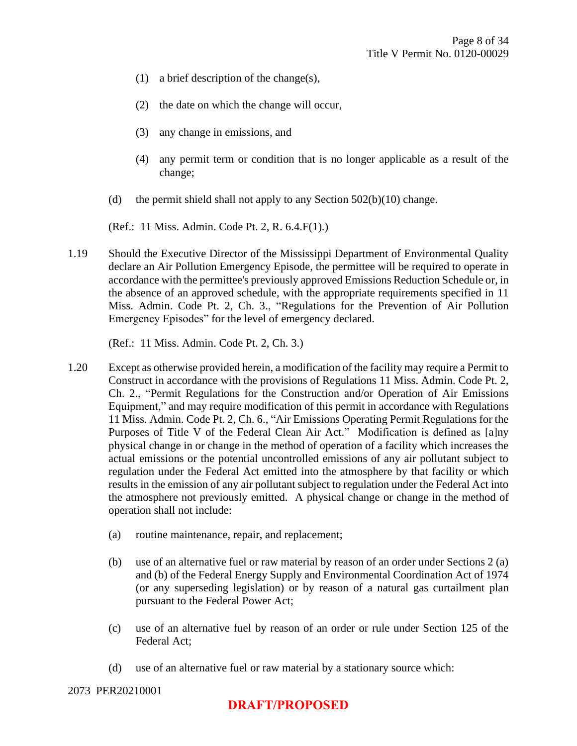- (1) a brief description of the change(s),
- (2) the date on which the change will occur,
- (3) any change in emissions, and
- (4) any permit term or condition that is no longer applicable as a result of the change;
- (d) the permit shield shall not apply to any Section  $502(b)(10)$  change.

(Ref.: 11 Miss. Admin. Code Pt. 2, R. 6.4.F(1).)

1.19 Should the Executive Director of the Mississippi Department of Environmental Quality declare an Air Pollution Emergency Episode, the permittee will be required to operate in accordance with the permittee's previously approved Emissions Reduction Schedule or, in the absence of an approved schedule, with the appropriate requirements specified in 11 Miss. Admin. Code Pt. 2, Ch. 3., "Regulations for the Prevention of Air Pollution Emergency Episodes" for the level of emergency declared.

(Ref.: 11 Miss. Admin. Code Pt. 2, Ch. 3.)

- 1.20 Except as otherwise provided herein, a modification of the facility may require a Permit to Construct in accordance with the provisions of Regulations 11 Miss. Admin. Code Pt. 2, Ch. 2., "Permit Regulations for the Construction and/or Operation of Air Emissions Equipment," and may require modification of this permit in accordance with Regulations 11 Miss. Admin. Code Pt. 2, Ch. 6., "Air Emissions Operating Permit Regulations for the Purposes of Title V of the Federal Clean Air Act." Modification is defined as [a]ny physical change in or change in the method of operation of a facility which increases the actual emissions or the potential uncontrolled emissions of any air pollutant subject to regulation under the Federal Act emitted into the atmosphere by that facility or which results in the emission of any air pollutant subject to regulation under the Federal Act into the atmosphere not previously emitted. A physical change or change in the method of operation shall not include:
	- (a) routine maintenance, repair, and replacement;
	- (b) use of an alternative fuel or raw material by reason of an order under Sections 2 (a) and (b) of the Federal Energy Supply and Environmental Coordination Act of 1974 (or any superseding legislation) or by reason of a natural gas curtailment plan pursuant to the Federal Power Act;
	- (c) use of an alternative fuel by reason of an order or rule under Section 125 of the Federal Act;
	- (d) use of an alternative fuel or raw material by a stationary source which: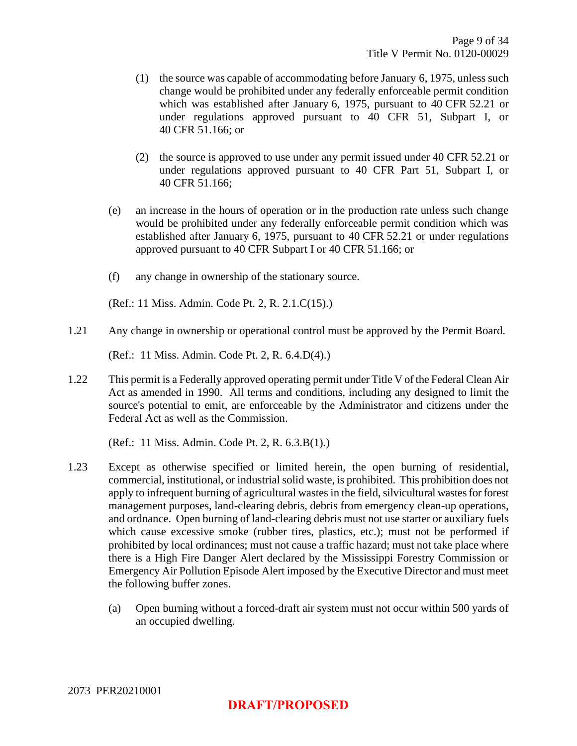- (1) the source was capable of accommodating before January 6, 1975, unless such change would be prohibited under any federally enforceable permit condition which was established after January 6, 1975, pursuant to 40 CFR 52.21 or under regulations approved pursuant to 40 CFR 51, Subpart I, or 40 CFR 51.166; or
- (2) the source is approved to use under any permit issued under 40 CFR 52.21 or under regulations approved pursuant to 40 CFR Part 51, Subpart I, or 40 CFR 51.166;
- (e) an increase in the hours of operation or in the production rate unless such change would be prohibited under any federally enforceable permit condition which was established after January 6, 1975, pursuant to 40 CFR 52.21 or under regulations approved pursuant to 40 CFR Subpart I or 40 CFR 51.166; or
- (f) any change in ownership of the stationary source.

(Ref.: 11 Miss. Admin. Code Pt. 2, R. 2.1.C(15).)

1.21 Any change in ownership or operational control must be approved by the Permit Board.

(Ref.: 11 Miss. Admin. Code Pt. 2, R. 6.4.D(4).)

1.22 This permit is a Federally approved operating permit under Title V of the Federal Clean Air Act as amended in 1990. All terms and conditions, including any designed to limit the source's potential to emit, are enforceable by the Administrator and citizens under the Federal Act as well as the Commission.

(Ref.: 11 Miss. Admin. Code Pt. 2, R. 6.3.B(1).)

- 1.23 Except as otherwise specified or limited herein, the open burning of residential, commercial, institutional, or industrial solid waste, is prohibited. This prohibition does not apply to infrequent burning of agricultural wastes in the field, silvicultural wastes for forest management purposes, land-clearing debris, debris from emergency clean-up operations, and ordnance. Open burning of land-clearing debris must not use starter or auxiliary fuels which cause excessive smoke (rubber tires, plastics, etc.); must not be performed if prohibited by local ordinances; must not cause a traffic hazard; must not take place where there is a High Fire Danger Alert declared by the Mississippi Forestry Commission or Emergency Air Pollution Episode Alert imposed by the Executive Director and must meet the following buffer zones.
	- (a) Open burning without a forced-draft air system must not occur within 500 yards of an occupied dwelling.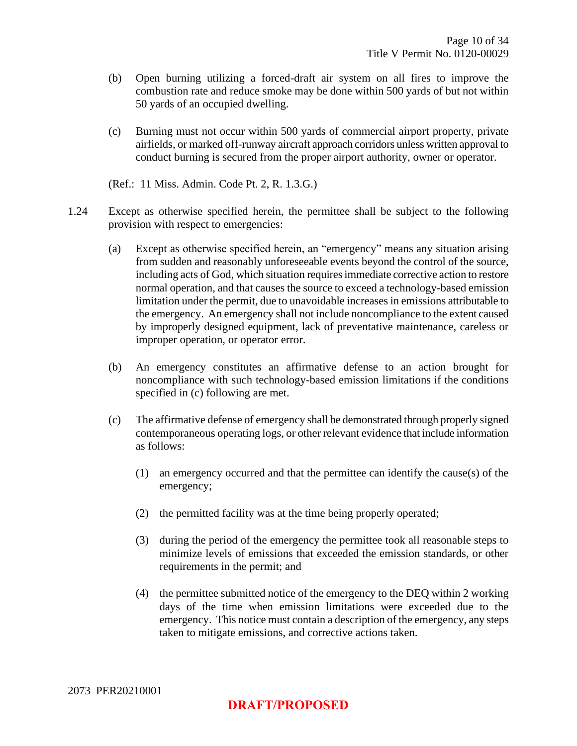- (b) Open burning utilizing a forced-draft air system on all fires to improve the combustion rate and reduce smoke may be done within 500 yards of but not within 50 yards of an occupied dwelling.
- (c) Burning must not occur within 500 yards of commercial airport property, private airfields, or marked off-runway aircraft approach corridors unless written approval to conduct burning is secured from the proper airport authority, owner or operator.
- (Ref.: 11 Miss. Admin. Code Pt. 2, R. 1.3.G.)
- 1.24 Except as otherwise specified herein, the permittee shall be subject to the following provision with respect to emergencies:
	- (a) Except as otherwise specified herein, an "emergency" means any situation arising from sudden and reasonably unforeseeable events beyond the control of the source, including acts of God, which situation requires immediate corrective action to restore normal operation, and that causes the source to exceed a technology-based emission limitation under the permit, due to unavoidable increases in emissions attributable to the emergency. An emergency shall not include noncompliance to the extent caused by improperly designed equipment, lack of preventative maintenance, careless or improper operation, or operator error.
	- (b) An emergency constitutes an affirmative defense to an action brought for noncompliance with such technology-based emission limitations if the conditions specified in (c) following are met.
	- (c) The affirmative defense of emergency shall be demonstrated through properly signed contemporaneous operating logs, or other relevant evidence that include information as follows:
		- (1) an emergency occurred and that the permittee can identify the cause(s) of the emergency;
		- (2) the permitted facility was at the time being properly operated;
		- (3) during the period of the emergency the permittee took all reasonable steps to minimize levels of emissions that exceeded the emission standards, or other requirements in the permit; and
		- (4) the permittee submitted notice of the emergency to the DEQ within 2 working days of the time when emission limitations were exceeded due to the emergency. This notice must contain a description of the emergency, any steps taken to mitigate emissions, and corrective actions taken.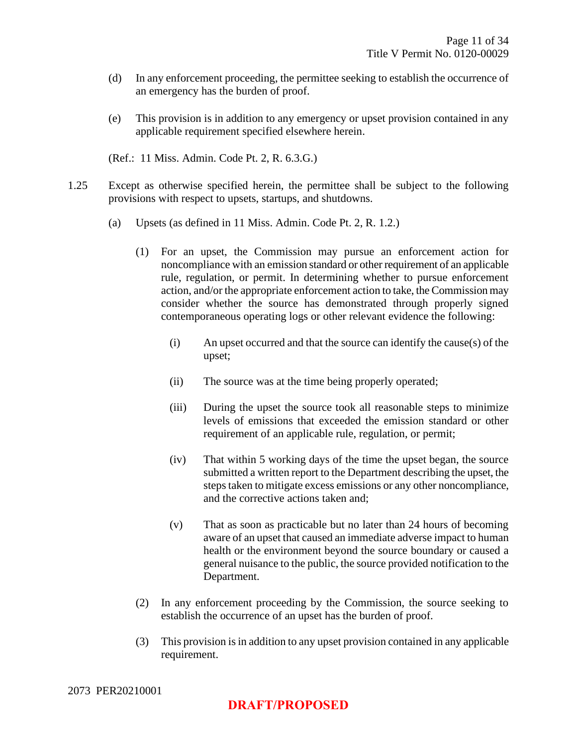- (d) In any enforcement proceeding, the permittee seeking to establish the occurrence of an emergency has the burden of proof.
- (e) This provision is in addition to any emergency or upset provision contained in any applicable requirement specified elsewhere herein.
- (Ref.: 11 Miss. Admin. Code Pt. 2, R. 6.3.G.)
- 1.25 Except as otherwise specified herein, the permittee shall be subject to the following provisions with respect to upsets, startups, and shutdowns.
	- (a) Upsets (as defined in 11 Miss. Admin. Code Pt. 2, R. 1.2.)
		- (1) For an upset, the Commission may pursue an enforcement action for noncompliance with an emission standard or other requirement of an applicable rule, regulation, or permit. In determining whether to pursue enforcement action, and/or the appropriate enforcement action to take, the Commission may consider whether the source has demonstrated through properly signed contemporaneous operating logs or other relevant evidence the following:
			- (i) An upset occurred and that the source can identify the cause(s) of the upset;
			- (ii) The source was at the time being properly operated;
			- (iii) During the upset the source took all reasonable steps to minimize levels of emissions that exceeded the emission standard or other requirement of an applicable rule, regulation, or permit;
			- (iv) That within 5 working days of the time the upset began, the source submitted a written report to the Department describing the upset, the steps taken to mitigate excess emissions or any other noncompliance, and the corrective actions taken and;
			- (v) That as soon as practicable but no later than 24 hours of becoming aware of an upset that caused an immediate adverse impact to human health or the environment beyond the source boundary or caused a general nuisance to the public, the source provided notification to the Department.
		- (2) In any enforcement proceeding by the Commission, the source seeking to establish the occurrence of an upset has the burden of proof.
		- (3) This provision is in addition to any upset provision contained in any applicable requirement.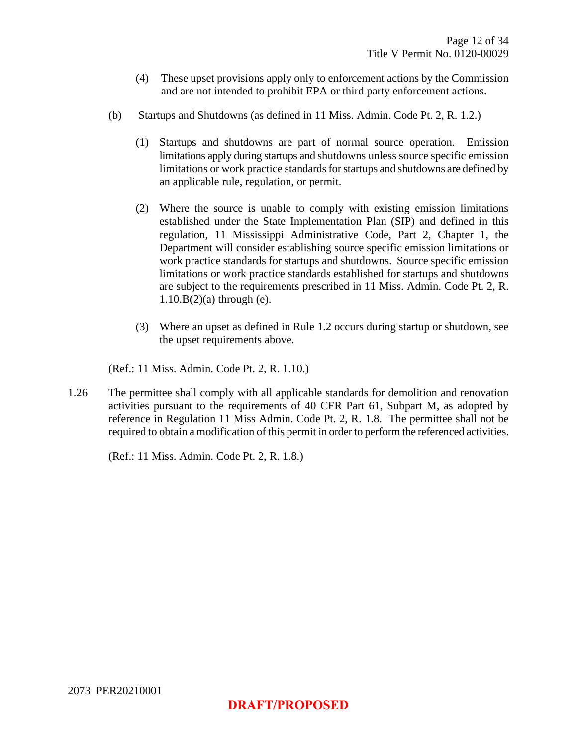- (4) These upset provisions apply only to enforcement actions by the Commission and are not intended to prohibit EPA or third party enforcement actions.
- (b) Startups and Shutdowns (as defined in 11 Miss. Admin. Code Pt. 2, R. 1.2.)
	- (1) Startups and shutdowns are part of normal source operation. Emission limitations apply during startups and shutdowns unless source specific emission limitations or work practice standards for startups and shutdowns are defined by an applicable rule, regulation, or permit.
	- (2) Where the source is unable to comply with existing emission limitations established under the State Implementation Plan (SIP) and defined in this regulation, 11 Mississippi Administrative Code, Part 2, Chapter 1, the Department will consider establishing source specific emission limitations or work practice standards for startups and shutdowns. Source specific emission limitations or work practice standards established for startups and shutdowns are subject to the requirements prescribed in 11 Miss. Admin. Code Pt. 2, R.  $1.10.B(2)(a)$  through (e).
	- (3) Where an upset as defined in Rule 1.2 occurs during startup or shutdown, see the upset requirements above.

(Ref.: 11 Miss. Admin. Code Pt. 2, R. 1.10.)

1.26 The permittee shall comply with all applicable standards for demolition and renovation activities pursuant to the requirements of 40 CFR Part 61, Subpart M, as adopted by reference in Regulation 11 Miss Admin. Code Pt. 2, R. 1.8. The permittee shall not be required to obtain a modification of this permit in order to perform the referenced activities.

(Ref.: 11 Miss. Admin. Code Pt. 2, R. 1.8.)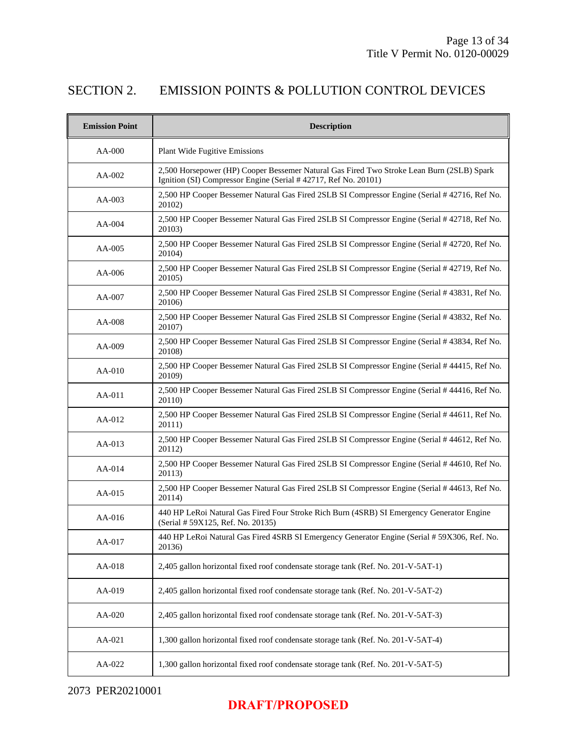## SECTION 2. EMISSION POINTS & POLLUTION CONTROL DEVICES

| <b>Emission Point</b> | <b>Description</b>                                                                                                                                          |
|-----------------------|-------------------------------------------------------------------------------------------------------------------------------------------------------------|
| AA-000                | Plant Wide Fugitive Emissions                                                                                                                               |
| AA-002                | 2,500 Horsepower (HP) Cooper Bessemer Natural Gas Fired Two Stroke Lean Burn (2SLB) Spark<br>Ignition (SI) Compressor Engine (Serial #42717, Ref No. 20101) |
| AA-003                | 2,500 HP Cooper Bessemer Natural Gas Fired 2SLB SI Compressor Engine (Serial # 42716, Ref No.<br>20102)                                                     |
| AA-004                | 2,500 HP Cooper Bessemer Natural Gas Fired 2SLB SI Compressor Engine (Serial #42718, Ref No.<br>20103)                                                      |
| AA-005                | 2,500 HP Cooper Bessemer Natural Gas Fired 2SLB SI Compressor Engine (Serial # 42720, Ref No.<br>20104)                                                     |
| AA-006                | 2,500 HP Cooper Bessemer Natural Gas Fired 2SLB SI Compressor Engine (Serial # 42719, Ref No.<br>20105)                                                     |
| AA-007                | 2,500 HP Cooper Bessemer Natural Gas Fired 2SLB SI Compressor Engine (Serial # 43831, Ref No.<br>20106)                                                     |
| AA-008                | 2,500 HP Cooper Bessemer Natural Gas Fired 2SLB SI Compressor Engine (Serial # 43832, Ref No.<br>20107)                                                     |
| AA-009                | 2,500 HP Cooper Bessemer Natural Gas Fired 2SLB SI Compressor Engine (Serial # 43834, Ref No.<br>20108)                                                     |
| AA-010                | 2,500 HP Cooper Bessemer Natural Gas Fired 2SLB SI Compressor Engine (Serial # 44415, Ref No.<br>20109)                                                     |
| AA-011                | 2,500 HP Cooper Bessemer Natural Gas Fired 2SLB SI Compressor Engine (Serial #44416, Ref No.<br>20110)                                                      |
| AA-012                | 2,500 HP Cooper Bessemer Natural Gas Fired 2SLB SI Compressor Engine (Serial #44611, Ref No.<br>20111)                                                      |
| AA-013                | 2,500 HP Cooper Bessemer Natural Gas Fired 2SLB SI Compressor Engine (Serial #44612, Ref No.<br>20112)                                                      |
| $AA-014$              | 2,500 HP Cooper Bessemer Natural Gas Fired 2SLB SI Compressor Engine (Serial #44610, Ref No.<br>20113)                                                      |
| AA-015                | 2,500 HP Cooper Bessemer Natural Gas Fired 2SLB SI Compressor Engine (Serial #44613, Ref No.<br>20114)                                                      |
| AA-016                | 440 HP LeRoi Natural Gas Fired Four Stroke Rich Burn (4SRB) SI Emergency Generator Engine<br>(Serial # 59X125, Ref. No. 20135)                              |
| AA-017                | 440 HP LeRoi Natural Gas Fired 4SRB SI Emergency Generator Engine (Serial # 59X306, Ref. No.<br>20136)                                                      |
| AA-018                | 2,405 gallon horizontal fixed roof condensate storage tank (Ref. No. 201-V-5AT-1)                                                                           |
| AA-019                | 2,405 gallon horizontal fixed roof condensate storage tank (Ref. No. 201-V-5AT-2)                                                                           |
| AA-020                | 2,405 gallon horizontal fixed roof condensate storage tank (Ref. No. 201-V-5AT-3)                                                                           |
| AA-021                | 1,300 gallon horizontal fixed roof condensate storage tank (Ref. No. 201-V-5AT-4)                                                                           |
| AA-022                | 1,300 gallon horizontal fixed roof condensate storage tank (Ref. No. 201-V-5AT-5)                                                                           |

## **DRAFT/PROPOSED**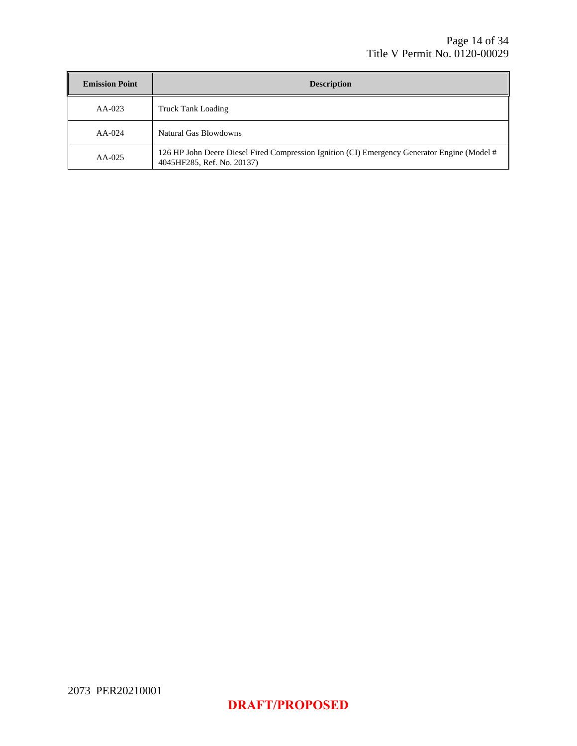| <b>Emission Point</b> | <b>Description</b>                                                                                                         |
|-----------------------|----------------------------------------------------------------------------------------------------------------------------|
| $AA-023$              | <b>Truck Tank Loading</b>                                                                                                  |
| $AA-024$              | Natural Gas Blowdowns                                                                                                      |
| $AA-025$              | 126 HP John Deere Diesel Fired Compression Ignition (CI) Emergency Generator Engine (Model #<br>4045HF285, Ref. No. 20137) |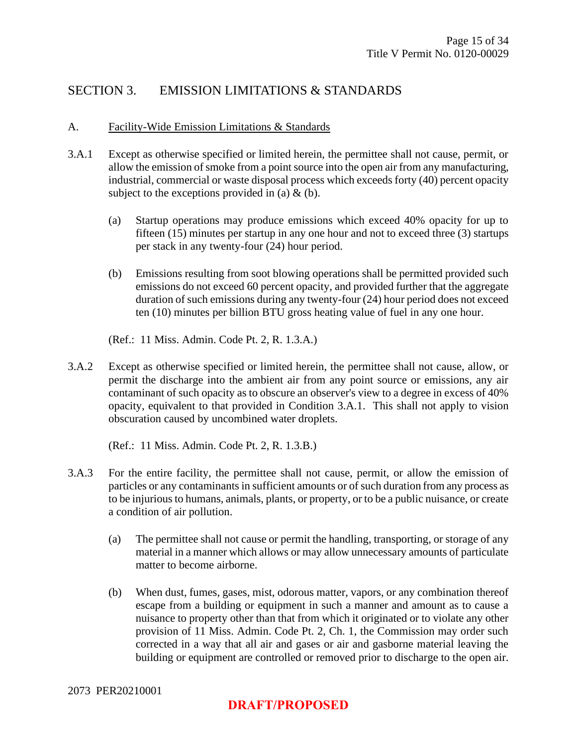## SECTION 3. EMISSION LIMITATIONS & STANDARDS

#### A. Facility-Wide Emission Limitations & Standards

- 3.A.1 Except as otherwise specified or limited herein, the permittee shall not cause, permit, or allow the emission of smoke from a point source into the open air from any manufacturing, industrial, commercial or waste disposal process which exceeds forty (40) percent opacity subject to the exceptions provided in (a)  $\&$  (b).
	- (a) Startup operations may produce emissions which exceed 40% opacity for up to fifteen (15) minutes per startup in any one hour and not to exceed three (3) startups per stack in any twenty-four (24) hour period.
	- (b) Emissions resulting from soot blowing operations shall be permitted provided such emissions do not exceed 60 percent opacity, and provided further that the aggregate duration of such emissions during any twenty-four (24) hour period does not exceed ten (10) minutes per billion BTU gross heating value of fuel in any one hour.
	- (Ref.: 11 Miss. Admin. Code Pt. 2, R. 1.3.A.)
- 3.A.2 Except as otherwise specified or limited herein, the permittee shall not cause, allow, or permit the discharge into the ambient air from any point source or emissions, any air contaminant of such opacity as to obscure an observer's view to a degree in excess of 40% opacity, equivalent to that provided in Condition 3.A.1. This shall not apply to vision obscuration caused by uncombined water droplets.

(Ref.: 11 Miss. Admin. Code Pt. 2, R. 1.3.B.)

- 3.A.3 For the entire facility, the permittee shall not cause, permit, or allow the emission of particles or any contaminants in sufficient amounts or of such duration from any process as to be injurious to humans, animals, plants, or property, or to be a public nuisance, or create a condition of air pollution.
	- (a) The permittee shall not cause or permit the handling, transporting, or storage of any material in a manner which allows or may allow unnecessary amounts of particulate matter to become airborne.
	- (b) When dust, fumes, gases, mist, odorous matter, vapors, or any combination thereof escape from a building or equipment in such a manner and amount as to cause a nuisance to property other than that from which it originated or to violate any other provision of 11 Miss. Admin. Code Pt. 2, Ch. 1, the Commission may order such corrected in a way that all air and gases or air and gasborne material leaving the building or equipment are controlled or removed prior to discharge to the open air.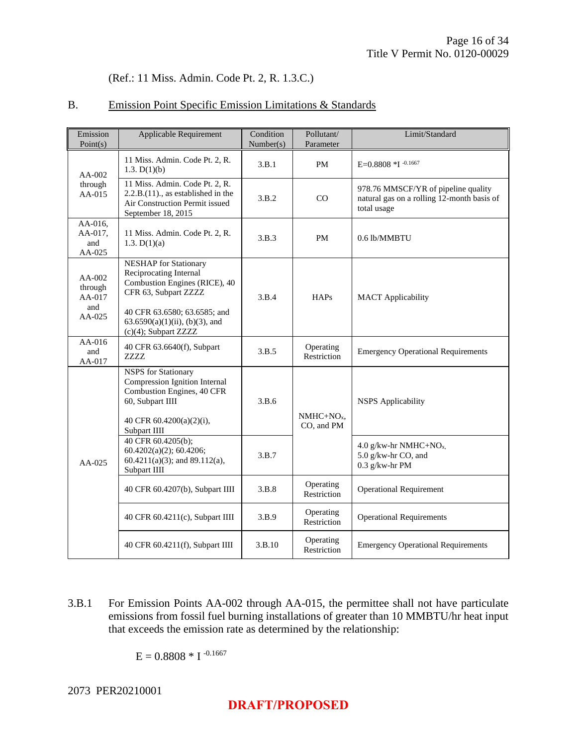#### (Ref.: 11 Miss. Admin. Code Pt. 2, R. 1.3.C.)

#### B. Emission Point Specific Emission Limitations & Standards

| Emission<br>Point(s)                             | Applicable Requirement                                                                                                                                    | Condition<br>Number(s) | Pollutant/<br>Parameter  | Limit/Standard                                                                                   |
|--------------------------------------------------|-----------------------------------------------------------------------------------------------------------------------------------------------------------|------------------------|--------------------------|--------------------------------------------------------------------------------------------------|
| $AA-002$                                         | 11 Miss. Admin. Code Pt. 2, R.<br>1.3. $D(1)(b)$                                                                                                          | 3.B.1                  | <b>PM</b>                | E=0.8808 *I -0.1667                                                                              |
| through<br>AA-015                                | 11 Miss. Admin. Code Pt. 2, R.<br>$2.2.B.(11)$ ., as established in the<br>Air Construction Permit issued<br>September 18, 2015                           | 3.B.2                  | CO                       | 978.76 MMSCF/YR of pipeline quality<br>natural gas on a rolling 12-month basis of<br>total usage |
| AA-016,<br>AA-017,<br>and<br>AA-025              | 11 Miss. Admin. Code Pt. 2, R.<br>1.3. $D(1)(a)$                                                                                                          | 3.B.3                  | <b>PM</b>                | 0.6 lb/MMBTU                                                                                     |
| $AA-002$<br>through<br>AA-017<br>and<br>$AA-025$ | <b>NESHAP</b> for Stationary<br>Reciprocating Internal<br>Combustion Engines (RICE), 40<br>CFR 63, Subpart ZZZZ<br>40 CFR 63.6580; 63.6585; and           | 3.B.4                  | HAPs                     | <b>MACT</b> Applicability                                                                        |
|                                                  | $63.6590(a)(1)(ii)$ , (b)(3), and<br>(c)(4); Subpart ZZZZ                                                                                                 |                        |                          |                                                                                                  |
| $AA-016$<br>and<br>AA-017                        | 40 CFR 63.6640(f), Subpart<br><b>ZZZZ</b>                                                                                                                 | 3.B.5                  | Operating<br>Restriction | <b>Emergency Operational Requirements</b>                                                        |
|                                                  | <b>NSPS</b> for Stationary<br>Compression Ignition Internal<br>Combustion Engines, 40 CFR<br>60, Subpart IIII<br>40 CFR 60.4200(a)(2)(i),<br>Subpart IIII | 3.B.6                  | $NMHC+NOx$<br>CO, and PM | <b>NSPS</b> Applicability                                                                        |
| $AA-025$                                         | 40 CFR 60.4205(b);<br>$60.4202(a)(2)$ ; 60.4206;<br>$60.4211(a)(3)$ ; and 89.112(a),<br>Subpart IIII                                                      | 3.B.7                  |                          | 4.0 g/kw-hr NMHC+NO <sub>x</sub> ,<br>5.0 g/kw-hr CO, and<br>$0.3$ g/kw-hr PM                    |
|                                                  | 40 CFR 60.4207(b), Subpart IIII                                                                                                                           | 3.B.8                  | Operating<br>Restriction | <b>Operational Requirement</b>                                                                   |
|                                                  | 40 CFR 60.4211(c), Subpart IIII                                                                                                                           | 3.B.9                  | Operating<br>Restriction | <b>Operational Requirements</b>                                                                  |
|                                                  | 40 CFR 60.4211(f), Subpart IIII                                                                                                                           | 3.B.10                 | Operating<br>Restriction | <b>Emergency Operational Requirements</b>                                                        |

3.B.1 For Emission Points AA-002 through AA-015, the permittee shall not have particulate emissions from fossil fuel burning installations of greater than 10 MMBTU/hr heat input that exceeds the emission rate as determined by the relationship:

 $E = 0.8808 * I^{-0.1667}$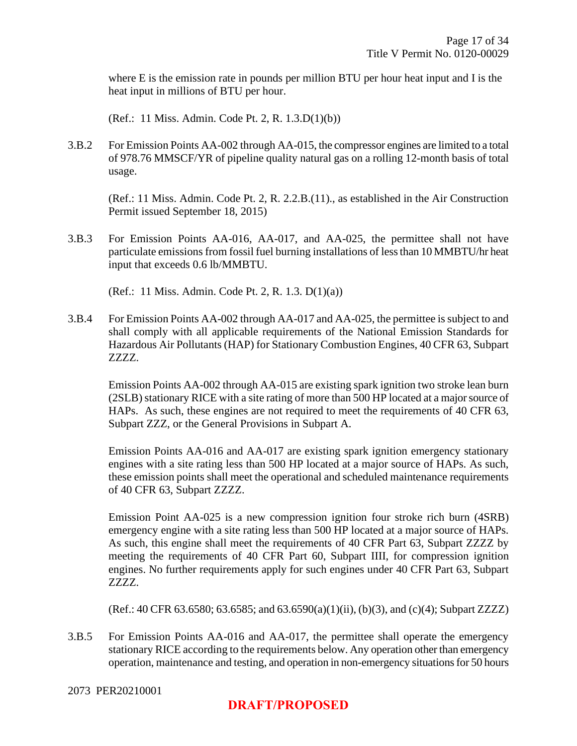where E is the emission rate in pounds per million BTU per hour heat input and I is the heat input in millions of BTU per hour.

(Ref.: 11 Miss. Admin. Code Pt. 2, R. 1.3.D(1)(b))

3.B.2 For Emission Points AA-002 through AA-015, the compressor engines are limited to a total of 978.76 MMSCF/YR of pipeline quality natural gas on a rolling 12-month basis of total usage.

(Ref.: 11 Miss. Admin. Code Pt. 2, R. 2.2.B.(11)., as established in the Air Construction Permit issued September 18, 2015)

3.B.3 For Emission Points AA-016, AA-017, and AA-025, the permittee shall not have particulate emissions from fossil fuel burning installations of less than 10 MMBTU/hr heat input that exceeds 0.6 lb/MMBTU.

(Ref.: 11 Miss. Admin. Code Pt. 2, R. 1.3. D(1)(a))

3.B.4 For Emission Points AA-002 through AA-017 and AA-025, the permittee is subject to and shall comply with all applicable requirements of the National Emission Standards for Hazardous Air Pollutants (HAP) for Stationary Combustion Engines, 40 CFR 63, Subpart ZZZZ.

Emission Points AA-002 through AA-015 are existing spark ignition two stroke lean burn (2SLB) stationary RICE with a site rating of more than 500 HP located at a major source of HAPs. As such, these engines are not required to meet the requirements of 40 CFR 63, Subpart ZZZ, or the General Provisions in Subpart A.

Emission Points AA-016 and AA-017 are existing spark ignition emergency stationary engines with a site rating less than 500 HP located at a major source of HAPs. As such, these emission points shall meet the operational and scheduled maintenance requirements of 40 CFR 63, Subpart ZZZZ.

Emission Point AA-025 is a new compression ignition four stroke rich burn (4SRB) emergency engine with a site rating less than 500 HP located at a major source of HAPs. As such, this engine shall meet the requirements of 40 CFR Part 63, Subpart ZZZZ by meeting the requirements of 40 CFR Part 60, Subpart IIII, for compression ignition engines. No further requirements apply for such engines under 40 CFR Part 63, Subpart ZZZZ.

(Ref.: 40 CFR 63.6580; 63.6585; and 63.6590(a)(1)(ii), (b)(3), and (c)(4); Subpart ZZZZ)

3.B.5 For Emission Points AA-016 and AA-017, the permittee shall operate the emergency stationary RICE according to the requirements below. Any operation other than emergency operation, maintenance and testing, and operation in non-emergency situations for 50 hours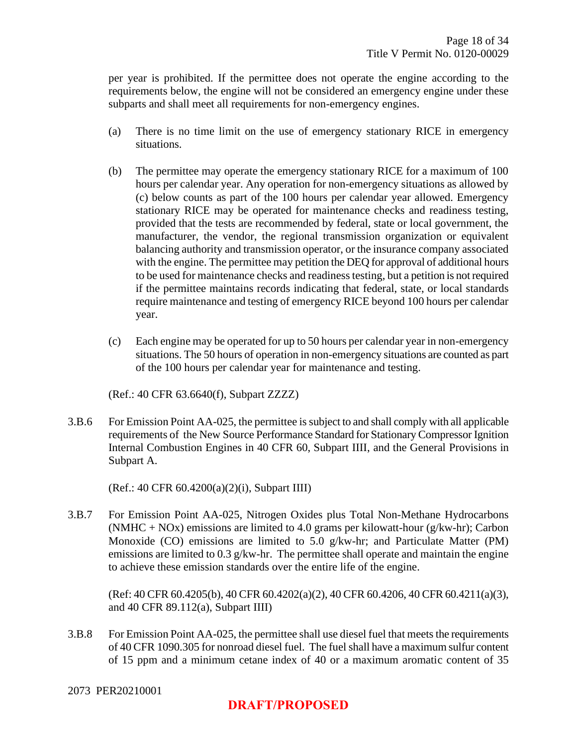per year is prohibited. If the permittee does not operate the engine according to the requirements below, the engine will not be considered an emergency engine under these subparts and shall meet all requirements for non-emergency engines.

- (a) There is no time limit on the use of emergency stationary RICE in emergency situations.
- (b) The permittee may operate the emergency stationary RICE for a maximum of 100 hours per calendar year. Any operation for non-emergency situations as allowed by (c) below counts as part of the 100 hours per calendar year allowed. Emergency stationary RICE may be operated for maintenance checks and readiness testing, provided that the tests are recommended by federal, state or local government, the manufacturer, the vendor, the regional transmission organization or equivalent balancing authority and transmission operator, or the insurance company associated with the engine. The permittee may petition the DEQ for approval of additional hours to be used for maintenance checks and readiness testing, but a petition is not required if the permittee maintains records indicating that federal, state, or local standards require maintenance and testing of emergency RICE beyond 100 hours per calendar year.
- (c) Each engine may be operated for up to 50 hours per calendar year in non-emergency situations. The 50 hours of operation in non-emergency situations are counted as part of the 100 hours per calendar year for maintenance and testing.

(Ref.: 40 CFR 63.6640(f), Subpart ZZZZ)

3.B.6 For Emission Point AA-025, the permittee is subject to and shall comply with all applicable requirements of the New Source Performance Standard for Stationary Compressor Ignition Internal Combustion Engines in 40 CFR 60, Subpart IIII, and the General Provisions in Subpart A.

(Ref.: 40 CFR 60.4200(a)(2)(i), Subpart IIII)

3.B.7 For Emission Point AA-025, Nitrogen Oxides plus Total Non-Methane Hydrocarbons (NMHC + NOx) emissions are limited to 4.0 grams per kilowatt-hour (g/kw-hr); Carbon Monoxide (CO) emissions are limited to 5.0 g/kw-hr; and Particulate Matter (PM) emissions are limited to 0.3 g/kw-hr. The permittee shall operate and maintain the engine to achieve these emission standards over the entire life of the engine.

(Ref: 40 CFR 60.4205(b), 40 CFR 60.4202(a)(2), 40 CFR 60.4206, 40 CFR 60.4211(a)(3), and 40 CFR 89.112(a), Subpart IIII)

3.B.8 For Emission Point AA-025, the permittee shall use diesel fuel that meets the requirements of 40 CFR 1090.305 for nonroad diesel fuel. The fuel shall have a maximum sulfur content of 15 ppm and a minimum cetane index of 40 or a maximum aromatic content of 35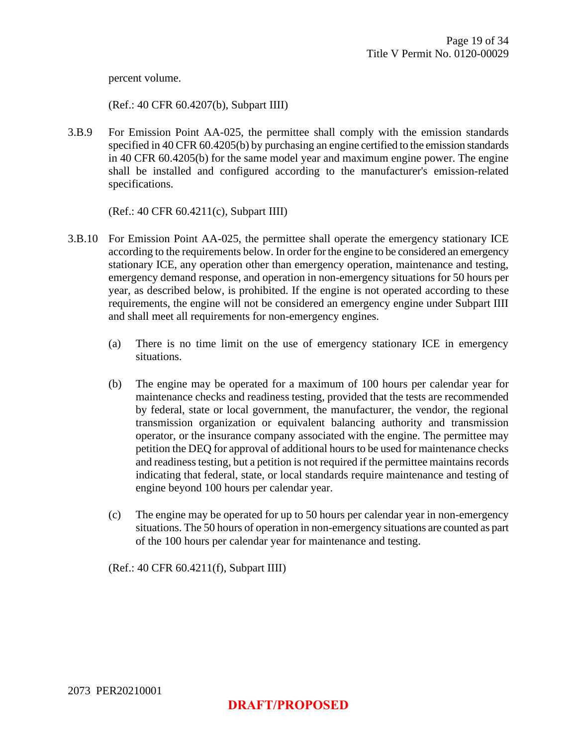percent volume.

(Ref.: 40 CFR 60.4207(b), Subpart IIII)

3.B.9 For Emission Point AA-025, the permittee shall comply with the emission standards specified in 40 CFR 60.4205(b) by purchasing an engine certified to the emission standards in 40 CFR 60.4205(b) for the same model year and maximum engine power. The engine shall be installed and configured according to the manufacturer's emission-related specifications.

(Ref.: 40 CFR 60.4211(c), Subpart IIII)

- 3.B.10 For Emission Point AA-025, the permittee shall operate the emergency stationary ICE according to the requirements below. In order for the engine to be considered an emergency stationary ICE, any operation other than emergency operation, maintenance and testing, emergency demand response, and operation in non-emergency situations for 50 hours per year, as described below, is prohibited. If the engine is not operated according to these requirements, the engine will not be considered an emergency engine under Subpart IIII and shall meet all requirements for non-emergency engines.
	- (a) There is no time limit on the use of emergency stationary ICE in emergency situations.
	- (b) The engine may be operated for a maximum of 100 hours per calendar year for maintenance checks and readiness testing, provided that the tests are recommended by federal, state or local government, the manufacturer, the vendor, the regional transmission organization or equivalent balancing authority and transmission operator, or the insurance company associated with the engine. The permittee may petition the DEQ for approval of additional hours to be used for maintenance checks and readiness testing, but a petition is not required if the permittee maintains records indicating that federal, state, or local standards require maintenance and testing of engine beyond 100 hours per calendar year.
	- (c) The engine may be operated for up to 50 hours per calendar year in non-emergency situations. The 50 hours of operation in non-emergency situations are counted as part of the 100 hours per calendar year for maintenance and testing.

(Ref.: 40 CFR 60.4211(f), Subpart IIII)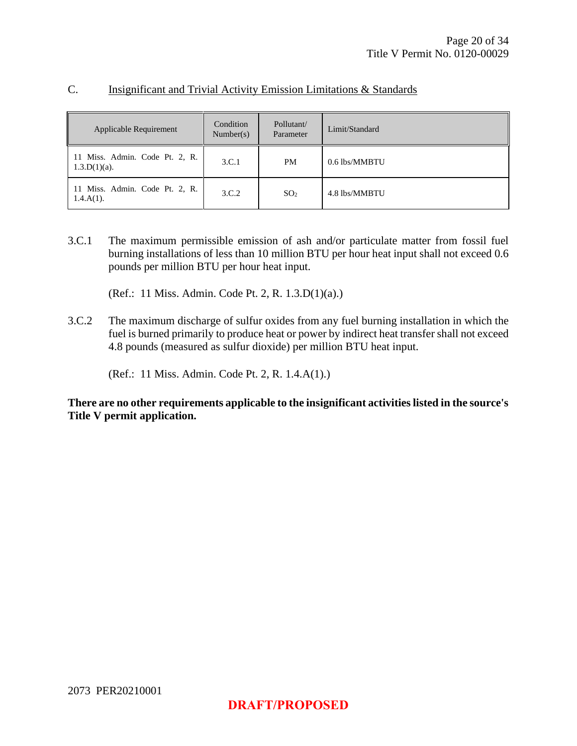| Applicable Requirement                            | Condition<br>Number(s) | Pollutant/<br>Parameter | Limit/Standard |
|---------------------------------------------------|------------------------|-------------------------|----------------|
| 11 Miss. Admin. Code Pt. 2, R.<br>$1.3.D(1)(a)$ . | 3.C.1                  | PM                      | 0.6 lbs/MMBTU  |
| 11 Miss. Admin. Code Pt. 2, R.<br>$1.4.A(1)$ .    | 3.C.2                  | SO <sub>2</sub>         | 4.8 lbs/MMBTU  |

#### C. Insignificant and Trivial Activity Emission Limitations & Standards

3.C.1 The maximum permissible emission of ash and/or particulate matter from fossil fuel burning installations of less than 10 million BTU per hour heat input shall not exceed 0.6 pounds per million BTU per hour heat input.

(Ref.: 11 Miss. Admin. Code Pt. 2, R. 1.3.D(1)(a).)

3.C.2 The maximum discharge of sulfur oxides from any fuel burning installation in which the fuel is burned primarily to produce heat or power by indirect heat transfer shall not exceed 4.8 pounds (measured as sulfur dioxide) per million BTU heat input.

(Ref.: 11 Miss. Admin. Code Pt. 2, R. 1.4.A(1).)

**There are no other requirements applicable to the insignificant activities listed in the source's Title V permit application.**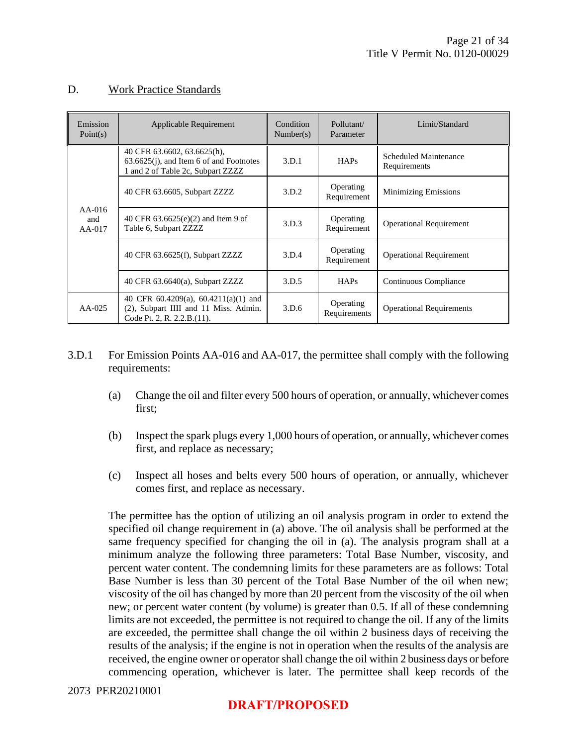#### D. Work Practice Standards

| Emission<br>Point(s)        | Applicable Requirement                                                                                            | Condition<br>Number(s) | Pollutant/<br>Parameter   | Limit/Standard                        |
|-----------------------------|-------------------------------------------------------------------------------------------------------------------|------------------------|---------------------------|---------------------------------------|
|                             | 40 CFR 63.6602, 63.6625(h),<br>$63.6625(i)$ , and Item 6 of and Footnotes<br>1 and 2 of Table 2c, Subpart ZZZZ    | 3.D.1                  | <b>HAPs</b>               | Scheduled Maintenance<br>Requirements |
| $AA-016$<br>and<br>$AA-017$ | 40 CFR 63.6605, Subpart ZZZZ                                                                                      | 3.D.2                  | Operating<br>Requirement  | <b>Minimizing Emissions</b>           |
|                             | 40 CFR $63.6625(e)(2)$ and Item 9 of<br>Table 6, Subpart ZZZZ                                                     | 3.D.3                  | Operating<br>Requirement  | <b>Operational Requirement</b>        |
|                             | 40 CFR 63.6625(f), Subpart ZZZZ                                                                                   | 3.D.4                  | Operating<br>Requirement  | <b>Operational Requirement</b>        |
|                             | 40 CFR 63.6640(a), Subpart ZZZZ                                                                                   | 3.D.5                  | HAPs                      | Continuous Compliance                 |
| $AA-025$                    | 40 CFR $60.4209(a)$ , $60.4211(a)(1)$ and<br>(2), Subpart IIII and 11 Miss. Admin.<br>Code Pt. 2, R. 2.2.B. (11). | 3.D.6                  | Operating<br>Requirements | <b>Operational Requirements</b>       |

- 3.D.1 For Emission Points AA-016 and AA-017, the permittee shall comply with the following requirements:
	- (a) Change the oil and filter every 500 hours of operation, or annually, whichever comes first;
	- (b) Inspect the spark plugs every 1,000 hours of operation, or annually, whichever comes first, and replace as necessary;
	- (c) Inspect all hoses and belts every 500 hours of operation, or annually, whichever comes first, and replace as necessary.

The permittee has the option of utilizing an oil analysis program in order to extend the specified oil change requirement in (a) above. The oil analysis shall be performed at the same frequency specified for changing the oil in (a). The analysis program shall at a minimum analyze the following three parameters: Total Base Number, viscosity, and percent water content. The condemning limits for these parameters are as follows: Total Base Number is less than 30 percent of the Total Base Number of the oil when new; viscosity of the oil has changed by more than 20 percent from the viscosity of the oil when new; or percent water content (by volume) is greater than 0.5. If all of these condemning limits are not exceeded, the permittee is not required to change the oil. If any of the limits are exceeded, the permittee shall change the oil within 2 business days of receiving the results of the analysis; if the engine is not in operation when the results of the analysis are received, the engine owner or operator shall change the oil within 2 business days or before commencing operation, whichever is later. The permittee shall keep records of the

#### 2073 PER20210001

#### **DRAFT/PROPOSED**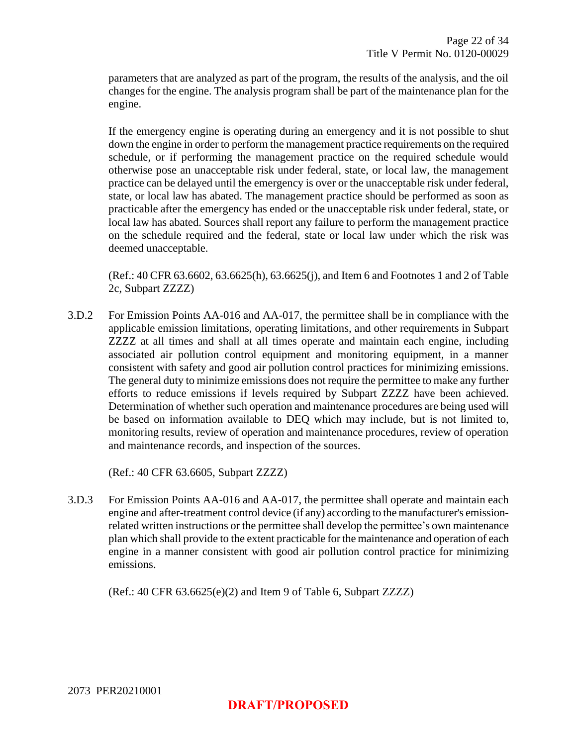parameters that are analyzed as part of the program, the results of the analysis, and the oil changes for the engine. The analysis program shall be part of the maintenance plan for the engine.

If the emergency engine is operating during an emergency and it is not possible to shut down the engine in order to perform the management practice requirements on the required schedule, or if performing the management practice on the required schedule would otherwise pose an unacceptable risk under federal, state, or local law, the management practice can be delayed until the emergency is over or the unacceptable risk under federal, state, or local law has abated. The management practice should be performed as soon as practicable after the emergency has ended or the unacceptable risk under federal, state, or local law has abated. Sources shall report any failure to perform the management practice on the schedule required and the federal, state or local law under which the risk was deemed unacceptable.

(Ref.: 40 CFR 63.6602, 63.6625(h), 63.6625(j), and Item 6 and Footnotes 1 and 2 of Table 2c, Subpart ZZZZ)

3.D.2 For Emission Points AA-016 and AA-017, the permittee shall be in compliance with the applicable emission limitations, operating limitations, and other requirements in Subpart ZZZZ at all times and shall at all times operate and maintain each engine, including associated air pollution control equipment and monitoring equipment, in a manner consistent with safety and good air pollution control practices for minimizing emissions. The general duty to minimize emissions does not require the permittee to make any further efforts to reduce emissions if levels required by Subpart ZZZZ have been achieved. Determination of whether such operation and maintenance procedures are being used will be based on information available to DEQ which may include, but is not limited to, monitoring results, review of operation and maintenance procedures, review of operation and maintenance records, and inspection of the sources.

(Ref.: 40 CFR 63.6605, Subpart ZZZZ)

3.D.3 For Emission Points AA-016 and AA-017, the permittee shall operate and maintain each engine and after-treatment control device (if any) according to the manufacturer's emissionrelated written instructions or the permittee shall develop the permittee's own maintenance plan which shall provide to the extent practicable for the maintenance and operation of each engine in a manner consistent with good air pollution control practice for minimizing emissions.

 $(Ref.: 40 CFR 63.6625(e)(2)$  and Item 9 of Table 6, Subpart ZZZZ)

2073 PER20210001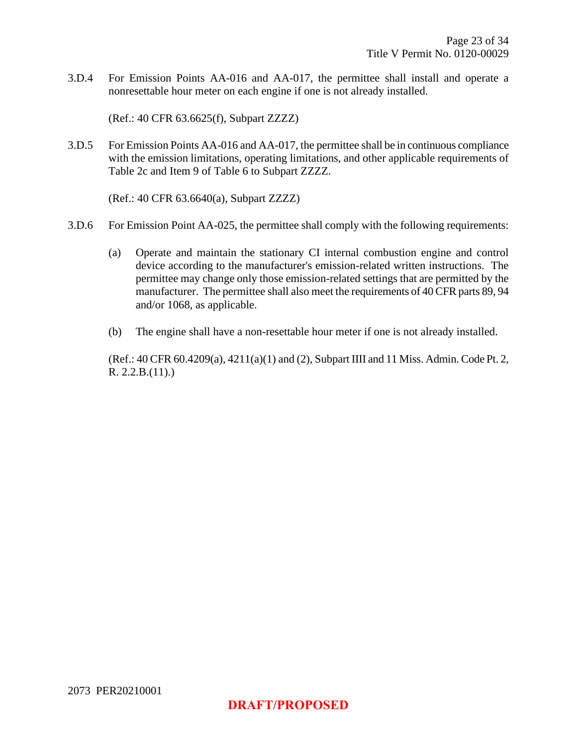3.D.4 For Emission Points AA-016 and AA-017, the permittee shall install and operate a nonresettable hour meter on each engine if one is not already installed.

(Ref.: 40 CFR 63.6625(f), Subpart ZZZZ)

3.D.5 For Emission Points AA-016 and AA-017, the permittee shall be in continuous compliance with the emission limitations, operating limitations, and other applicable requirements of Table 2c and Item 9 of Table 6 to Subpart ZZZZ.

(Ref.: 40 CFR 63.6640(a), Subpart ZZZZ)

- 3.D.6 For Emission Point AA-025, the permittee shall comply with the following requirements:
	- (a) Operate and maintain the stationary CI internal combustion engine and control device according to the manufacturer's emission-related written instructions. The permittee may change only those emission-related settings that are permitted by the manufacturer. The permittee shall also meet the requirements of 40 CFR parts 89, 94 and/or 1068, as applicable.
	- (b) The engine shall have a non-resettable hour meter if one is not already installed.

(Ref.: 40 CFR 60.4209(a), 4211(a)(1) and (2), Subpart IIII and 11 Miss. Admin. Code Pt. 2, R. 2.2.B.(11).)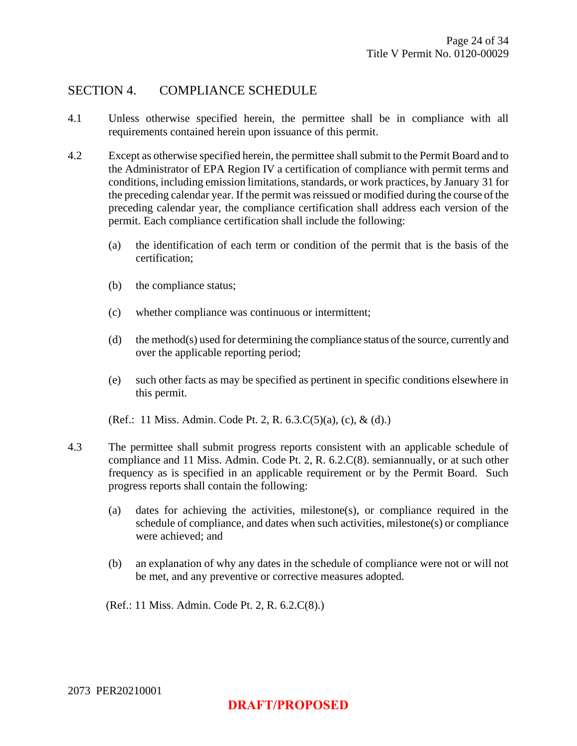### SECTION 4. COMPLIANCE SCHEDULE

- 4.1 Unless otherwise specified herein, the permittee shall be in compliance with all requirements contained herein upon issuance of this permit.
- 4.2 Except as otherwise specified herein, the permittee shall submit to the Permit Board and to the Administrator of EPA Region IV a certification of compliance with permit terms and conditions, including emission limitations, standards, or work practices, by January 31 for the preceding calendar year. If the permit was reissued or modified during the course of the preceding calendar year, the compliance certification shall address each version of the permit. Each compliance certification shall include the following:
	- (a) the identification of each term or condition of the permit that is the basis of the certification;
	- (b) the compliance status;
	- (c) whether compliance was continuous or intermittent;
	- (d) the method(s) used for determining the compliance status of the source, currently and over the applicable reporting period;
	- (e) such other facts as may be specified as pertinent in specific conditions elsewhere in this permit.

(Ref.: 11 Miss. Admin. Code Pt. 2, R. 6.3.C(5)(a), (c), & (d).)

- 4.3 The permittee shall submit progress reports consistent with an applicable schedule of compliance and 11 Miss. Admin. Code Pt. 2, R. 6.2.C(8). semiannually, or at such other frequency as is specified in an applicable requirement or by the Permit Board. Such progress reports shall contain the following:
	- (a) dates for achieving the activities, milestone(s), or compliance required in the schedule of compliance, and dates when such activities, milestone(s) or compliance were achieved; and
	- (b) an explanation of why any dates in the schedule of compliance were not or will not be met, and any preventive or corrective measures adopted.

(Ref.: 11 Miss. Admin. Code Pt. 2, R. 6.2.C(8).)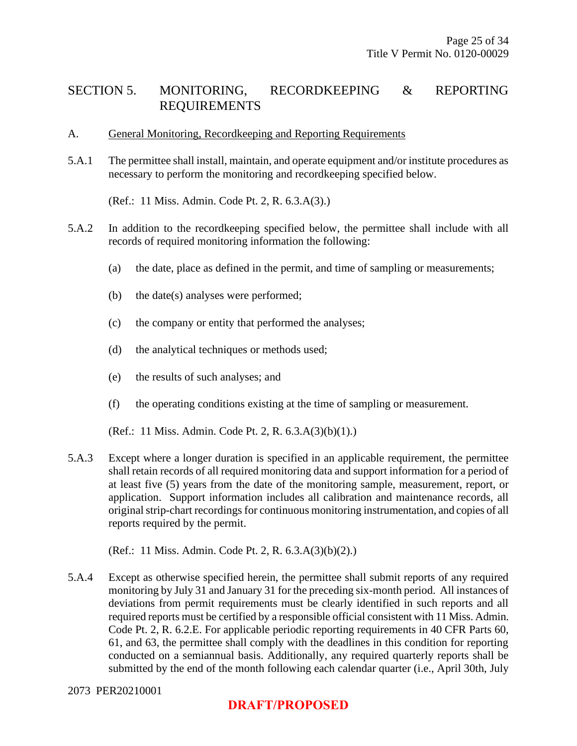## SECTION 5. MONITORING, RECORDKEEPING & REPORTING REQUIREMENTS

- A. General Monitoring, Recordkeeping and Reporting Requirements
- 5.A.1 The permittee shall install, maintain, and operate equipment and/or institute procedures as necessary to perform the monitoring and recordkeeping specified below.

(Ref.: 11 Miss. Admin. Code Pt. 2, R. 6.3.A(3).)

- 5.A.2 In addition to the recordkeeping specified below, the permittee shall include with all records of required monitoring information the following:
	- (a) the date, place as defined in the permit, and time of sampling or measurements;
	- (b) the date(s) analyses were performed;
	- (c) the company or entity that performed the analyses;
	- (d) the analytical techniques or methods used;
	- (e) the results of such analyses; and
	- (f) the operating conditions existing at the time of sampling or measurement.

(Ref.: 11 Miss. Admin. Code Pt. 2, R. 6.3.A(3)(b)(1).)

5.A.3 Except where a longer duration is specified in an applicable requirement, the permittee shall retain records of all required monitoring data and support information for a period of at least five (5) years from the date of the monitoring sample, measurement, report, or application. Support information includes all calibration and maintenance records, all original strip-chart recordings for continuous monitoring instrumentation, and copies of all reports required by the permit.

(Ref.: 11 Miss. Admin. Code Pt. 2, R. 6.3.A(3)(b)(2).)

5.A.4 Except as otherwise specified herein, the permittee shall submit reports of any required monitoring by July 31 and January 31 for the preceding six-month period. All instances of deviations from permit requirements must be clearly identified in such reports and all required reports must be certified by a responsible official consistent with 11 Miss. Admin. Code Pt. 2, R. 6.2.E. For applicable periodic reporting requirements in 40 CFR Parts 60, 61, and 63, the permittee shall comply with the deadlines in this condition for reporting conducted on a semiannual basis. Additionally, any required quarterly reports shall be submitted by the end of the month following each calendar quarter (i.e., April 30th, July

### **DRAFT/PROPOSED**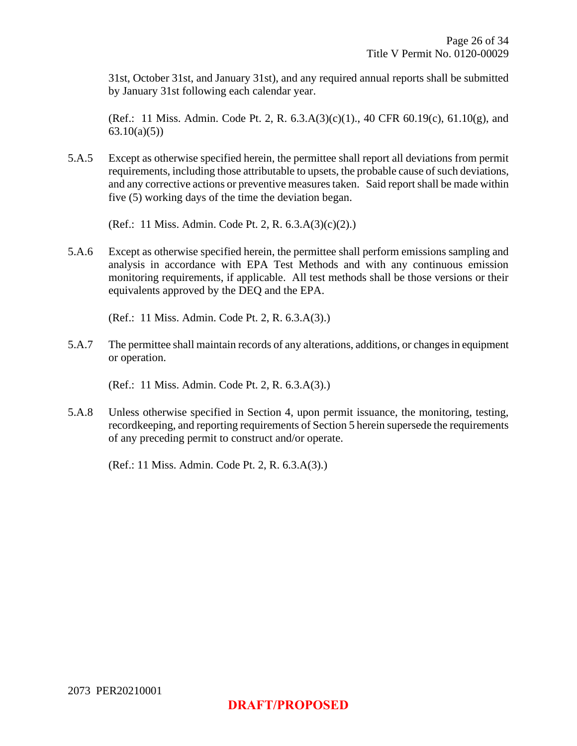31st, October 31st, and January 31st), and any required annual reports shall be submitted by January 31st following each calendar year.

(Ref.: 11 Miss. Admin. Code Pt. 2, R. 6.3.A(3)(c)(1)., 40 CFR 60.19(c), 61.10(g), and 63.10(a)(5))

5.A.5 Except as otherwise specified herein, the permittee shall report all deviations from permit requirements, including those attributable to upsets, the probable cause of such deviations, and any corrective actions or preventive measures taken. Said report shall be made within five (5) working days of the time the deviation began.

(Ref.: 11 Miss. Admin. Code Pt. 2, R. 6.3.A(3)(c)(2).)

5.A.6 Except as otherwise specified herein, the permittee shall perform emissions sampling and analysis in accordance with EPA Test Methods and with any continuous emission monitoring requirements, if applicable. All test methods shall be those versions or their equivalents approved by the DEQ and the EPA.

(Ref.: 11 Miss. Admin. Code Pt. 2, R. 6.3.A(3).)

5.A.7 The permittee shall maintain records of any alterations, additions, or changes in equipment or operation.

(Ref.: 11 Miss. Admin. Code Pt. 2, R. 6.3.A(3).)

5.A.8 Unless otherwise specified in Section 4, upon permit issuance, the monitoring, testing, recordkeeping, and reporting requirements of Section 5 herein supersede the requirements of any preceding permit to construct and/or operate.

(Ref.: 11 Miss. Admin. Code Pt. 2, R. 6.3.A(3).)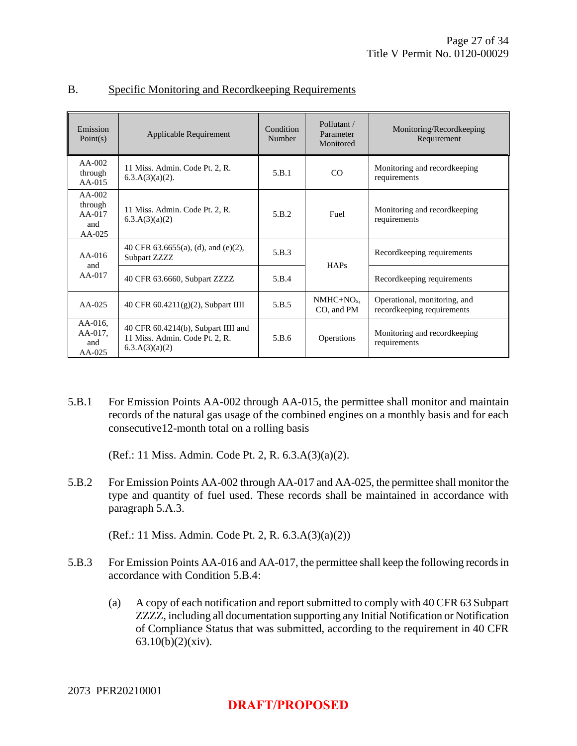| Emission<br>Point(s)                             | Applicable Requirement                                                                     | Condition<br>Number | Pollutant /<br>Parameter<br>Monitored | Monitoring/Recordkeeping<br>Requirement                    |
|--------------------------------------------------|--------------------------------------------------------------------------------------------|---------------------|---------------------------------------|------------------------------------------------------------|
| $AA-002$<br>through<br>$AA-015$                  | 11 Miss. Admin. Code Pt. 2, R.<br>$6.3.A(3)(a)(2)$ .                                       | 5.B.1               | CO                                    | Monitoring and record keeping<br>requirements              |
| $AA-002$<br>through<br>$AA-017$<br>and<br>AA-025 | 11 Miss. Admin. Code Pt. 2, R.<br>6.3.A(3)(a)(2)                                           | 5.B.2               | Fuel                                  | Monitoring and record keeping<br>requirements              |
| $AA-016$                                         | 40 CFR 63.6655(a), (d), and (e)(2),<br>Subpart ZZZZ                                        | 5.B.3               |                                       | Recordkeeping requirements                                 |
| and<br>$AA-017$                                  | 40 CFR 63.6660, Subpart ZZZZ                                                               | 5.B.4               | HAPs                                  | Recordkeeping requirements                                 |
| $AA-025$                                         | 40 CFR 60.4211(g)(2), Subpart IIII                                                         | 5.B.5               | $NMHC+NOx$<br>CO, and PM              | Operational, monitoring, and<br>recordkeeping requirements |
| $AA-016$ ,<br>AA-017,<br>and<br>$AA-025$         | 40 CFR $60.4214(b)$ , Subpart IIII and<br>11 Miss. Admin. Code Pt. 2, R.<br>6.3.A(3)(a)(2) | 5.B.6               | Operations                            | Monitoring and record keeping<br>requirements              |

#### B. Specific Monitoring and Recordkeeping Requirements

5.B.1 For Emission Points AA-002 through AA-015, the permittee shall monitor and maintain records of the natural gas usage of the combined engines on a monthly basis and for each consecutive12-month total on a rolling basis

(Ref.: 11 Miss. Admin. Code Pt. 2, R. 6.3.A(3)(a)(2).

5.B.2 For Emission Points AA-002 through AA-017 and AA-025, the permittee shall monitor the type and quantity of fuel used. These records shall be maintained in accordance with paragraph 5.A.3.

(Ref.: 11 Miss. Admin. Code Pt. 2, R. 6.3.A(3)(a)(2))

- 5.B.3 For Emission Points AA-016 and AA-017, the permittee shall keep the following recordsin accordance with Condition 5.B.4:
	- (a) A copy of each notification and report submitted to comply with 40 CFR 63 Subpart ZZZZ, including all documentation supporting any Initial Notification or Notification of Compliance Status that was submitted, according to the requirement in 40 CFR 63.10(b)(2)(xiv).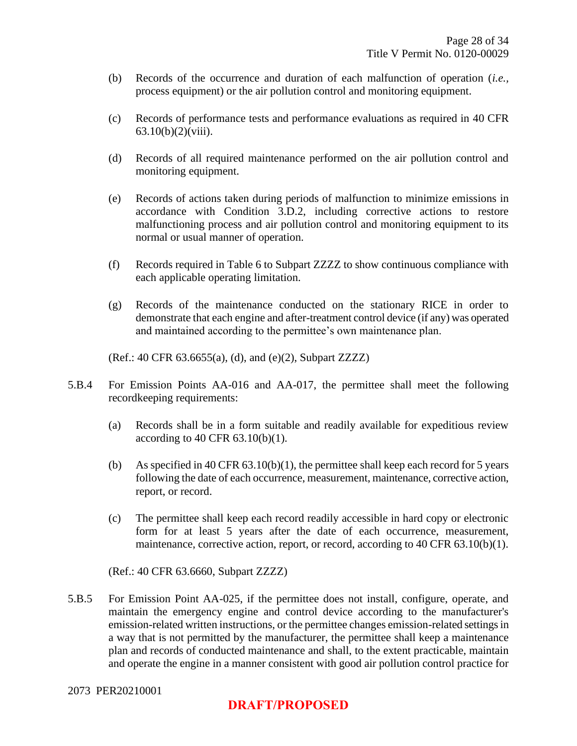- (b) Records of the occurrence and duration of each malfunction of operation (*i.e.,* process equipment) or the air pollution control and monitoring equipment.
- (c) Records of performance tests and performance evaluations as required in 40 CFR 63.10(b)(2)(viii).
- (d) Records of all required maintenance performed on the air pollution control and monitoring equipment.
- (e) Records of actions taken during periods of malfunction to minimize emissions in accordance with Condition 3.D.2, including corrective actions to restore malfunctioning process and air pollution control and monitoring equipment to its normal or usual manner of operation.
- (f) Records required in Table 6 to Subpart ZZZZ to show continuous compliance with each applicable operating limitation.
- (g) Records of the maintenance conducted on the stationary RICE in order to demonstrate that each engine and after-treatment control device (if any) was operated and maintained according to the permittee's own maintenance plan.

(Ref.: 40 CFR 63.6655(a), (d), and (e)(2), Subpart ZZZZ)

- 5.B.4 For Emission Points AA-016 and AA-017, the permittee shall meet the following recordkeeping requirements:
	- (a) Records shall be in a form suitable and readily available for expeditious review according to 40 CFR  $63.10(b)(1)$ .
	- (b) As specified in 40 CFR 63.10(b)(1), the permittee shall keep each record for 5 years following the date of each occurrence, measurement, maintenance, corrective action, report, or record.
	- (c) The permittee shall keep each record readily accessible in hard copy or electronic form for at least 5 years after the date of each occurrence, measurement, maintenance, corrective action, report, or record, according to 40 CFR 63.10(b)(1).

(Ref.: 40 CFR 63.6660, Subpart ZZZZ)

5.B.5 For Emission Point AA-025, if the permittee does not install, configure, operate, and maintain the emergency engine and control device according to the manufacturer's emission-related written instructions, or the permittee changes emission-related settings in a way that is not permitted by the manufacturer, the permittee shall keep a maintenance plan and records of conducted maintenance and shall, to the extent practicable, maintain and operate the engine in a manner consistent with good air pollution control practice for

## **DRAFT/PROPOSED**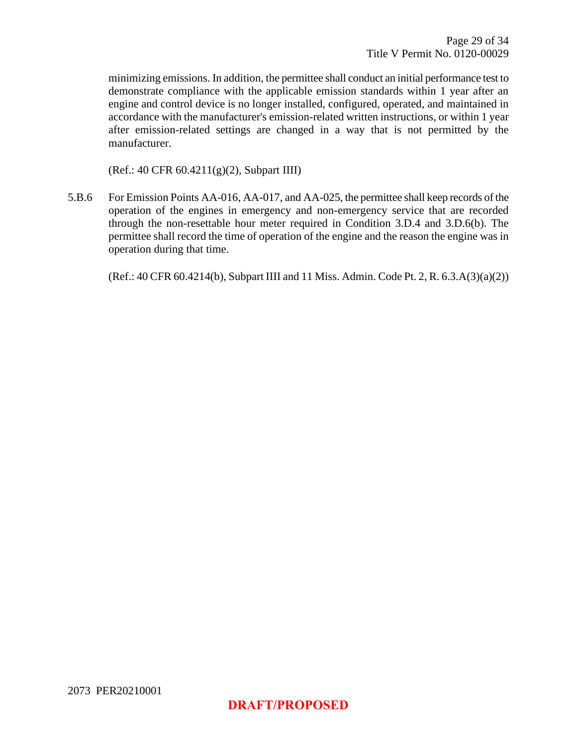minimizing emissions. In addition, the permittee shall conduct an initial performance test to demonstrate compliance with the applicable emission standards within 1 year after an engine and control device is no longer installed, configured, operated, and maintained in accordance with the manufacturer's emission-related written instructions, or within 1 year after emission-related settings are changed in a way that is not permitted by the manufacturer.

(Ref.: 40 CFR 60.4211(g)(2), Subpart IIII)

5.B.6 For Emission Points AA-016, AA-017, and AA-025, the permittee shall keep records of the operation of the engines in emergency and non-emergency service that are recorded through the non-resettable hour meter required in Condition 3.D.4 and 3.D.6(b). The permittee shall record the time of operation of the engine and the reason the engine was in operation during that time.

(Ref.: 40 CFR 60.4214(b), Subpart IIII and 11 Miss. Admin. Code Pt. 2, R. 6.3.A(3)(a)(2))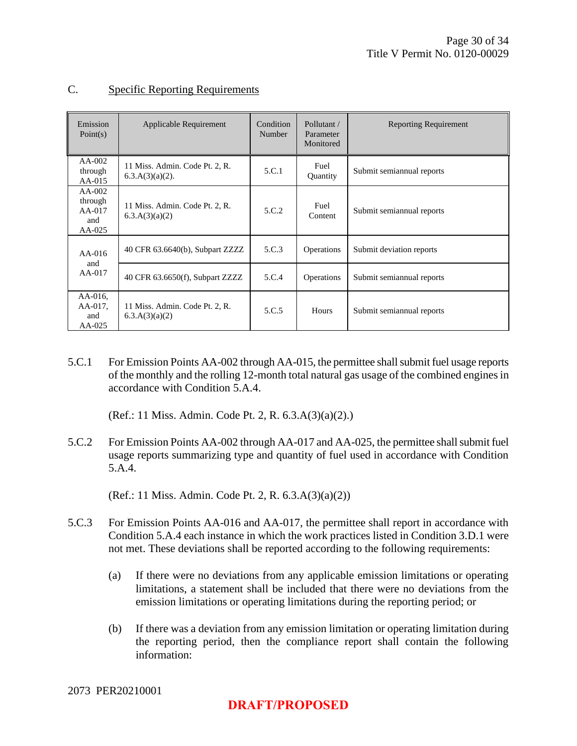| Emission<br>Point(s)                               | Applicable Requirement                               | Condition<br>Number | Pollutant /<br>Parameter<br>Monitored | <b>Reporting Requirement</b> |
|----------------------------------------------------|------------------------------------------------------|---------------------|---------------------------------------|------------------------------|
| $AA-002$<br>through<br>$AA-015$                    | 11 Miss. Admin. Code Pt. 2, R.<br>$6.3.A(3)(a)(2)$ . | 5.C.1               | Fuel<br><b>Ouantity</b>               | Submit semiannual reports    |
| $AA-002$<br>through<br>$AA-017$<br>and<br>$AA-025$ | 11 Miss. Admin. Code Pt. 2, R.<br>6.3.A(3)(a)(2)     | 5.C.2               | Fuel<br>Content                       | Submit semiannual reports    |
| $AA-016$<br>and                                    | 40 CFR 63.6640(b), Subpart ZZZZ                      | 5.C.3               | Operations                            | Submit deviation reports     |
| AA-017                                             | 40 CFR 63.6650(f), Subpart ZZZZ                      | 5.C.4               | Operations                            | Submit semiannual reports    |
| $AA-016$ ,<br>AA-017,<br>and<br>AA-025             | 11 Miss. Admin. Code Pt. 2, R.<br>6.3.A(3)(a)(2)     | 5.C.5               | <b>Hours</b>                          | Submit semiannual reports    |

#### C. Specific Reporting Requirements

5.C.1 For Emission Points AA-002 through AA-015, the permittee shall submit fuel usage reports of the monthly and the rolling 12-month total natural gas usage of the combined enginesin accordance with Condition 5.A.4.

(Ref.: 11 Miss. Admin. Code Pt. 2, R. 6.3.A(3)(a)(2).)

5.C.2 For Emission Points AA-002 through AA-017 and AA-025, the permittee shall submit fuel usage reports summarizing type and quantity of fuel used in accordance with Condition 5.A.4.

(Ref.: 11 Miss. Admin. Code Pt. 2, R. 6.3.A(3)(a)(2))

- 5.C.3 For Emission Points AA-016 and AA-017, the permittee shall report in accordance with Condition 5.A.4 each instance in which the work practices listed in Condition 3.D.1 were not met. These deviations shall be reported according to the following requirements:
	- (a) If there were no deviations from any applicable emission limitations or operating limitations, a statement shall be included that there were no deviations from the emission limitations or operating limitations during the reporting period; or
	- (b) If there was a deviation from any emission limitation or operating limitation during the reporting period, then the compliance report shall contain the following information: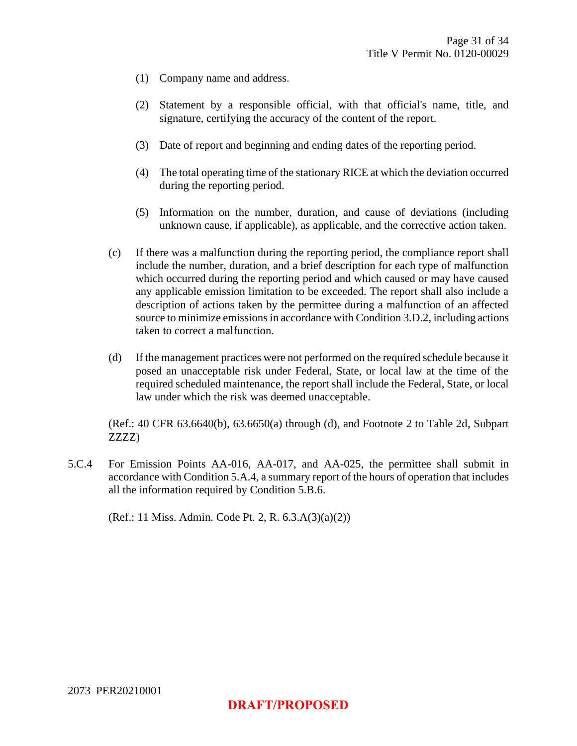- (1) Company name and address.
- (2) Statement by a responsible official, with that official's name, title, and signature, certifying the accuracy of the content of the report.
- (3) Date of report and beginning and ending dates of the reporting period.
- (4) The total operating time of the stationary RICE at which the deviation occurred during the reporting period.
- (5) Information on the number, duration, and cause of deviations (including unknown cause, if applicable), as applicable, and the corrective action taken.
- (c) If there was a malfunction during the reporting period, the compliance report shall include the number, duration, and a brief description for each type of malfunction which occurred during the reporting period and which caused or may have caused any applicable emission limitation to be exceeded. The report shall also include a description of actions taken by the permittee during a malfunction of an affected source to minimize emissions in accordance with Condition 3.D.2, including actions taken to correct a malfunction.
- (d) If the management practices were not performed on the required schedule because it posed an unacceptable risk under Federal, State, or local law at the time of the required scheduled maintenance, the report shall include the Federal, State, or local law under which the risk was deemed unacceptable.

(Ref.: 40 CFR 63.6640(b), 63.6650(a) through (d), and Footnote 2 to Table 2d, Subpart ZZZZ)

5.C.4 For Emission Points AA-016, AA-017, and AA-025, the permittee shall submit in accordance with Condition 5.A.4, a summary report of the hours of operation that includes all the information required by Condition 5.B.6.

(Ref.: 11 Miss. Admin. Code Pt. 2, R. 6.3.A(3)(a)(2))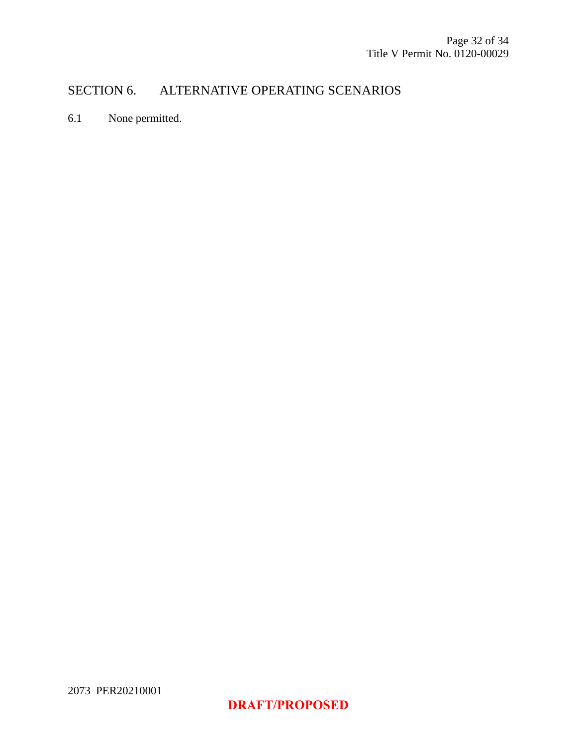## SECTION 6. ALTERNATIVE OPERATING SCENARIOS

6.1 None permitted.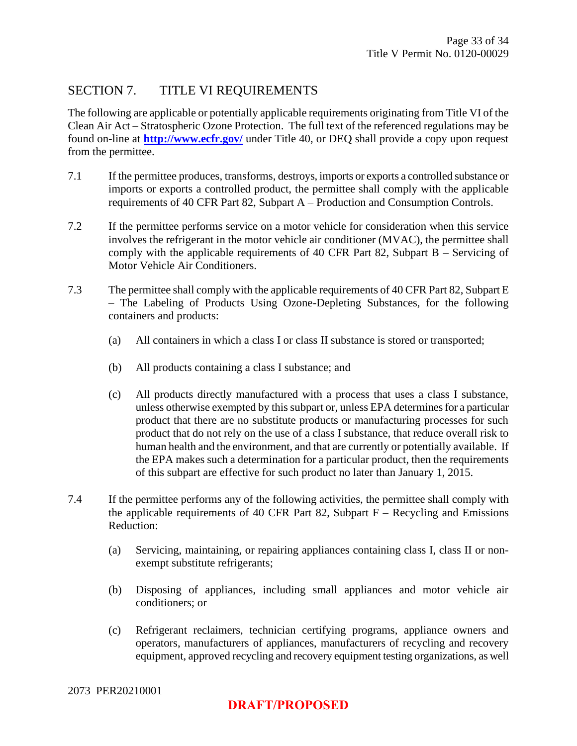### SECTION 7. TITLE VI REQUIREMENTS

The following are applicable or potentially applicable requirements originating from Title VI of the Clean Air Act – Stratospheric Ozone Protection. The full text of the referenced regulations may be found on-line at **<http://www.ecfr.gov/>** under Title 40, or DEQ shall provide a copy upon request from the permittee.

- 7.1 If the permittee produces, transforms, destroys, imports or exports a controlled substance or imports or exports a controlled product, the permittee shall comply with the applicable requirements of 40 CFR Part 82, Subpart A – Production and Consumption Controls.
- 7.2 If the permittee performs service on a motor vehicle for consideration when this service involves the refrigerant in the motor vehicle air conditioner (MVAC), the permittee shall comply with the applicable requirements of 40 CFR Part 82, Subpart B – Servicing of Motor Vehicle Air Conditioners.
- 7.3 The permittee shall comply with the applicable requirements of 40 CFR Part 82, Subpart E – The Labeling of Products Using Ozone-Depleting Substances, for the following containers and products:
	- (a) All containers in which a class I or class II substance is stored or transported;
	- (b) All products containing a class I substance; and
	- (c) All products directly manufactured with a process that uses a class I substance, unless otherwise exempted by this subpart or, unless EPA determines for a particular product that there are no substitute products or manufacturing processes for such product that do not rely on the use of a class I substance, that reduce overall risk to human health and the environment, and that are currently or potentially available. If the EPA makes such a determination for a particular product, then the requirements of this subpart are effective for such product no later than January 1, 2015.
- 7.4 If the permittee performs any of the following activities, the permittee shall comply with the applicable requirements of 40 CFR Part 82, Subpart  $F -$  Recycling and Emissions Reduction:
	- (a) Servicing, maintaining, or repairing appliances containing class I, class II or nonexempt substitute refrigerants;
	- (b) Disposing of appliances, including small appliances and motor vehicle air conditioners; or
	- (c) Refrigerant reclaimers, technician certifying programs, appliance owners and operators, manufacturers of appliances, manufacturers of recycling and recovery equipment, approved recycling and recovery equipment testing organizations, as well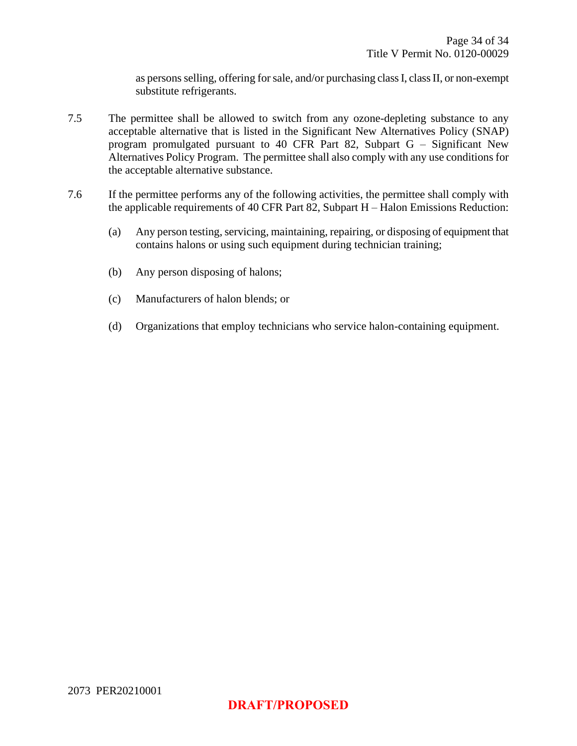as persons selling, offering for sale, and/or purchasing class I, class II, or non-exempt substitute refrigerants.

- 7.5 The permittee shall be allowed to switch from any ozone-depleting substance to any acceptable alternative that is listed in the Significant New Alternatives Policy (SNAP) program promulgated pursuant to 40 CFR Part 82, Subpart G – Significant New Alternatives Policy Program. The permittee shall also comply with any use conditions for the acceptable alternative substance.
- <span id="page-33-0"></span>7.6 If the permittee performs any of the following activities, the permittee shall comply with the applicable requirements of 40 CFR Part 82, Subpart H – Halon Emissions Reduction:
	- (a) Any person testing, servicing, maintaining, repairing, or disposing of equipment that contains halons or using such equipment during technician training;
	- (b) Any person disposing of halons;
	- (c) Manufacturers of halon blends; or
	- (d) Organizations that employ technicians who service halon-containing equipment.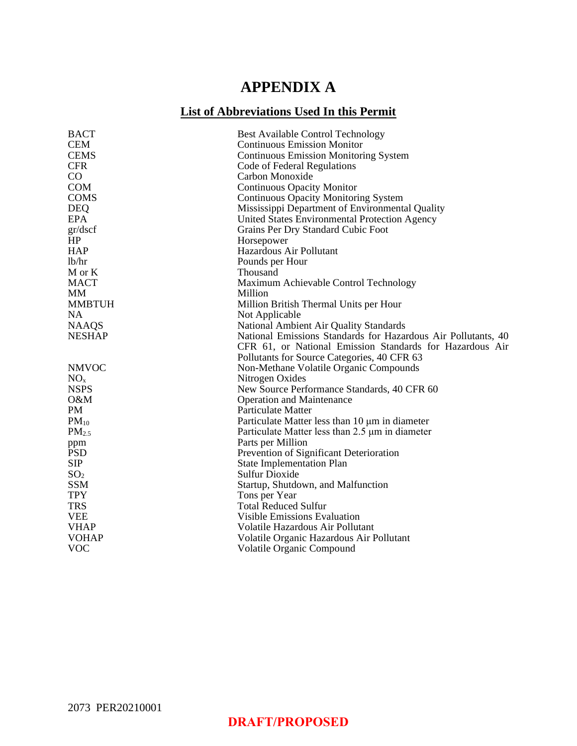## **APPENDIX A**

## **List of Abbreviations Used In this Permit**

| <b>BACT</b>       | <b>Best Available Control Technology</b>                      |
|-------------------|---------------------------------------------------------------|
| <b>CEM</b>        | <b>Continuous Emission Monitor</b>                            |
| <b>CEMS</b>       | <b>Continuous Emission Monitoring System</b>                  |
| <b>CFR</b>        | Code of Federal Regulations                                   |
| CO                | Carbon Monoxide                                               |
| <b>COM</b>        | <b>Continuous Opacity Monitor</b>                             |
| <b>COMS</b>       | <b>Continuous Opacity Monitoring System</b>                   |
| <b>DEQ</b>        | Mississippi Department of Environmental Quality               |
| <b>EPA</b>        | United States Environmental Protection Agency                 |
| gr/dscf           | Grains Per Dry Standard Cubic Foot                            |
| HP                | Horsepower                                                    |
| <b>HAP</b>        | Hazardous Air Pollutant                                       |
| lb/hr             | Pounds per Hour                                               |
| M or K            | Thousand                                                      |
| <b>MACT</b>       | Maximum Achievable Control Technology                         |
| MM                | Million                                                       |
| <b>MMBTUH</b>     | Million British Thermal Units per Hour                        |
| NA.               | Not Applicable                                                |
| <b>NAAQS</b>      | National Ambient Air Quality Standards                        |
| <b>NESHAP</b>     | National Emissions Standards for Hazardous Air Pollutants, 40 |
|                   | CFR 61, or National Emission Standards for Hazardous Air      |
|                   | Pollutants for Source Categories, 40 CFR 63                   |
| <b>NMVOC</b>      | Non-Methane Volatile Organic Compounds                        |
| NO <sub>x</sub>   | Nitrogen Oxides                                               |
| <b>NSPS</b>       | New Source Performance Standards, 40 CFR 60                   |
| O&M               | <b>Operation and Maintenance</b>                              |
| PM                | Particulate Matter                                            |
| $PM_{10}$         | Particulate Matter less than 10 µm in diameter                |
| PM <sub>2.5</sub> | Particulate Matter less than 2.5 µm in diameter               |
| ppm               | Parts per Million                                             |
| <b>PSD</b>        | Prevention of Significant Deterioration                       |
| <b>SIP</b>        | <b>State Implementation Plan</b>                              |
| SO <sub>2</sub>   | Sulfur Dioxide                                                |
| <b>SSM</b>        | Startup, Shutdown, and Malfunction                            |
| <b>TPY</b>        | Tons per Year                                                 |
| <b>TRS</b>        | <b>Total Reduced Sulfur</b>                                   |
| <b>VEE</b>        | <b>Visible Emissions Evaluation</b>                           |
| <b>VHAP</b>       | Volatile Hazardous Air Pollutant                              |
| <b>VOHAP</b>      | Volatile Organic Hazardous Air Pollutant                      |
| <b>VOC</b>        | Volatile Organic Compound                                     |
|                   |                                                               |